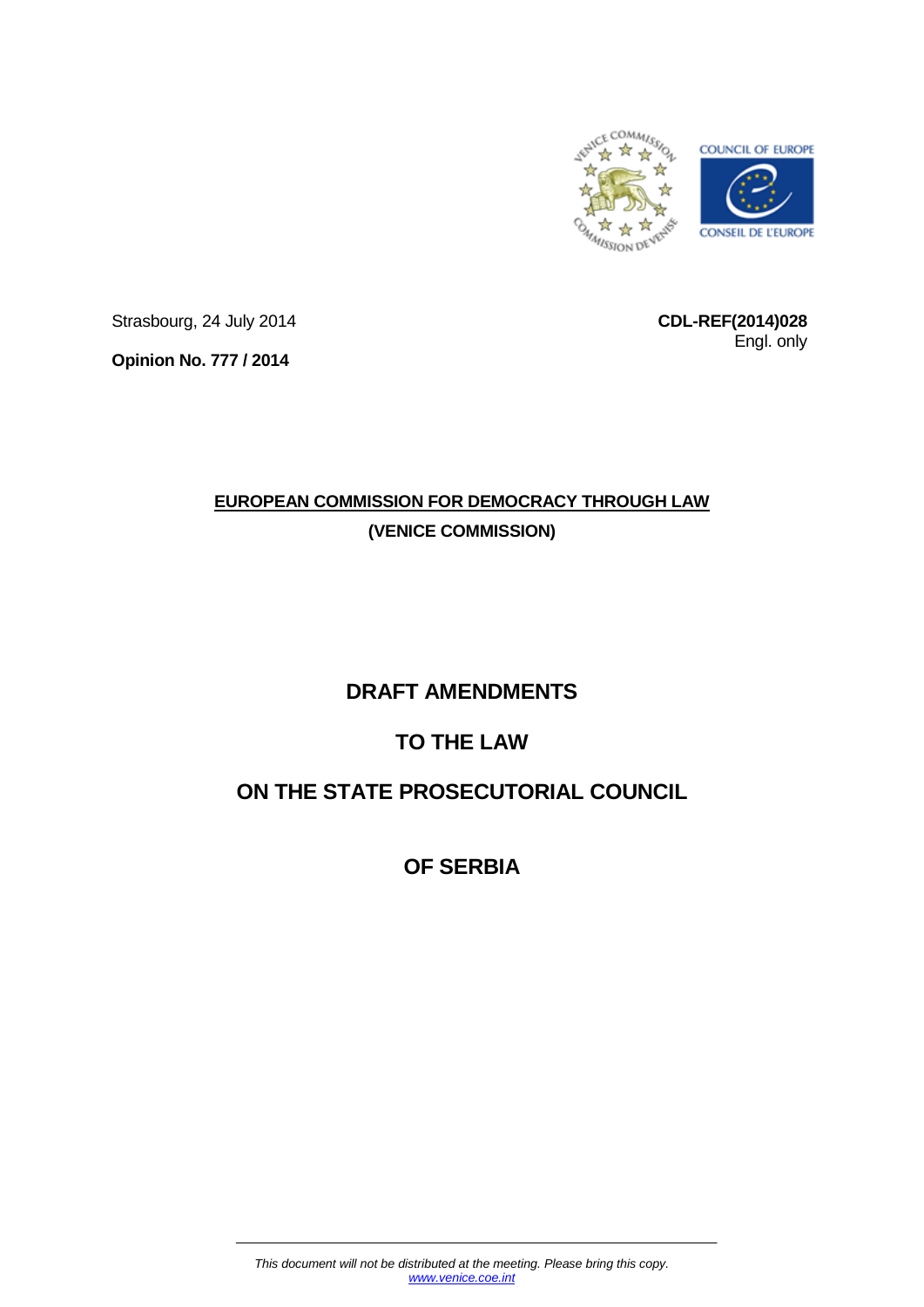

Strasbourg, 24 July 2014

**CDL-REF(2014)028** Engl. only

**Opinion No. 777 / 2014**

# **EUROPEAN COMMISSION FOR DEMOCRACY THROUGH LAW (VENICE COMMISSION)**

# **DRAFT AMENDMENTS**

# **TO THE LAW**

# **ON THE STATE PROSECUTORIAL COUNCIL**

**OF SERBIA**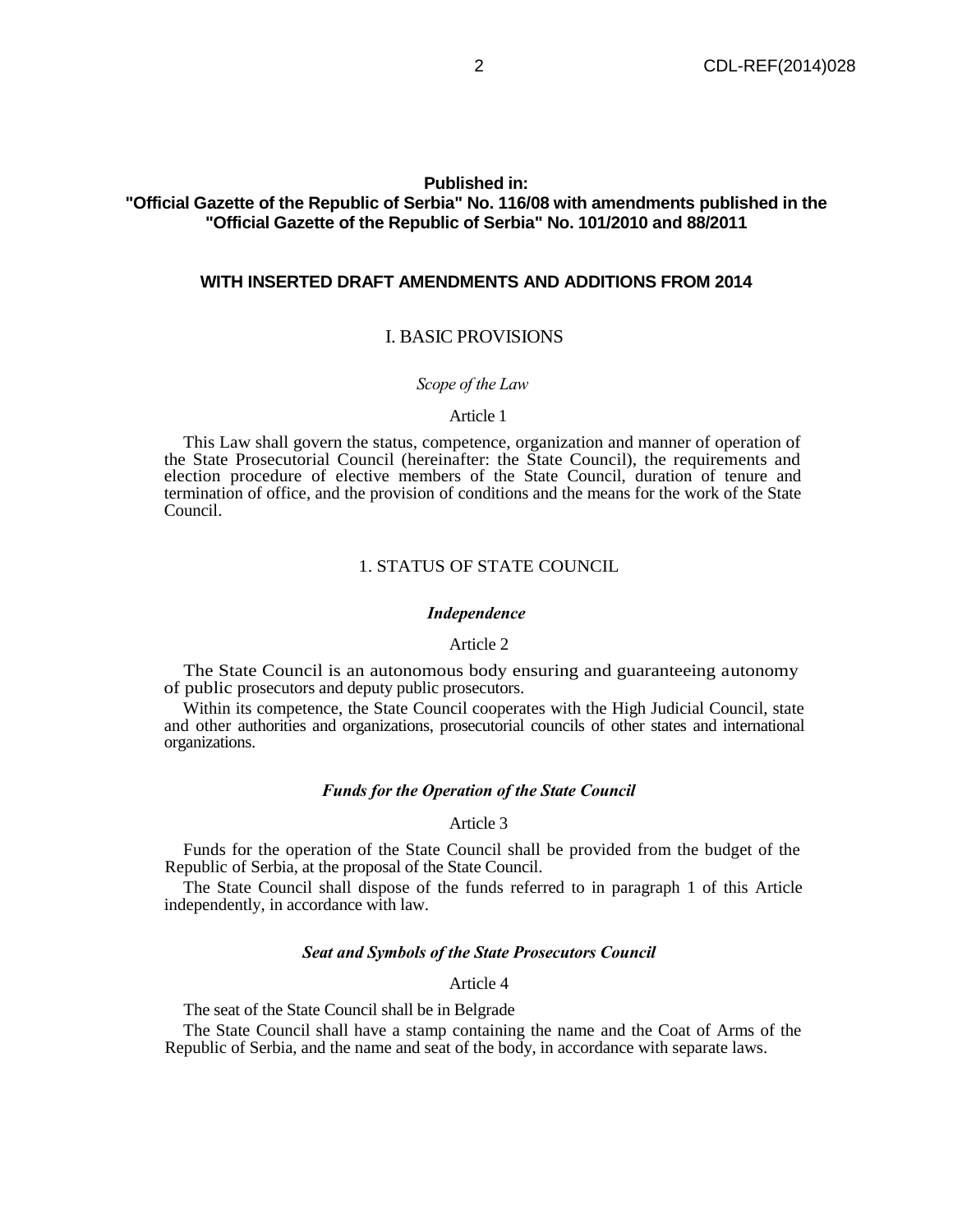## **Published in:**

## **"Official Gazette of the Republic of Serbia" No. 116/08 with amendments published in the "Official Gazette of the Republic of Serbia" No. 101/2010 and 88/2011**

## **WITH INSERTED DRAFT AMENDMENTS AND ADDITIONS FROM 2014**

## I. BASIC PROVISIONS

## *Scope of the Law*

#### Article 1

This Law shall govern the status, competence, organization and manner of operation of the State Prosecutorial Council (hereinafter: the State Council), the requirements and election procedure of elective members of the State Council, duration of tenure and termination of office, and the provision of conditions and the means for the work of the State Council.

#### 1. STATUS OF STATE COUNCIL

#### *Independence*

#### Article 2

The State Council is an autonomous body ensuring and guaranteeing autonomy of public prosecutors and deputy public prosecutors.

Within its competence, the State Council cooperates with the High Judicial Council, state and other authorities and organizations, prosecutorial councils of other states and international organizations.

#### *Funds for the Operation of the State Council*

#### Article 3

Funds for the operation of the State Council shall be provided from the budget of the Republic of Serbia, at the proposal of the State Council.

The State Council shall dispose of the funds referred to in paragraph 1 of this Article independently, in accordance with law.

#### *Seat and Symbols of the State Prosecutors Council*

#### Article 4

The seat of the State Council shall be in Belgrade

The State Council shall have a stamp containing the name and the Coat of Arms of the Republic of Serbia, and the name and seat of the body, in accordance with separate laws.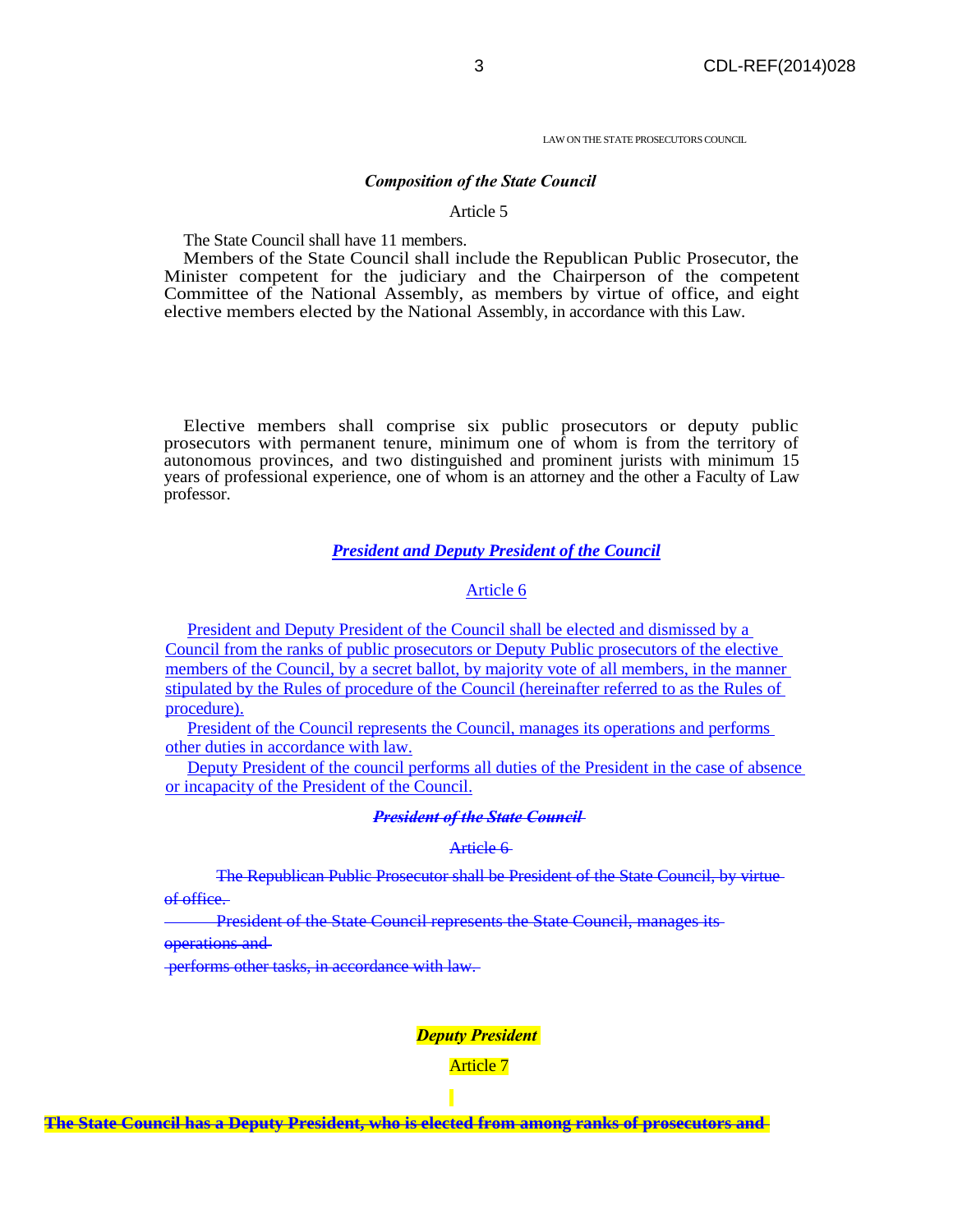LAW ON THE STATE PROSECUTORS COUNCIL

#### *Composition of the State Council*

#### Article 5

The State Council shall have 11 members.

Members of the State Council shall include the Republican Public Prosecutor, the Minister competent for the judiciary and the Chairperson of the competent Committee of the National Assembly, as members by virtue of office, and eight elective members elected by the National Assembly, in accordance with this Law.

Elective members shall comprise six public prosecutors or deputy public prosecutors with permanent tenure, minimum one of whom is from the territory of autonomous provinces, and two distinguished and prominent jurists with minimum 15 years of professional experience, one of whom is an attorney and the other a Faculty of Law professor.

## *President and Deputy President of the Council*

## Article 6

President and Deputy President of the Council shall be elected and dismissed by a Council from the ranks of public prosecutors or Deputy Public prosecutors of the elective members of the Council, by a secret ballot, by majority vote of all members, in the manner stipulated by the Rules of procedure of the Council (hereinafter referred to as the Rules of procedure).

President of the Council represents the Council, manages its operations and performs other duties in accordance with law.

Deputy President of the council performs all duties of the President in the case of absence or incapacity of the President of the Council.

#### *President of the State Council*

#### Article 6

The Republican Public Prosecutor shall be President of the State Council, by virtue of office.

President of the State Council represents the State Council, manages its

operations and

performs other tasks, in accordance with law.

#### *Deputy President*

Article 7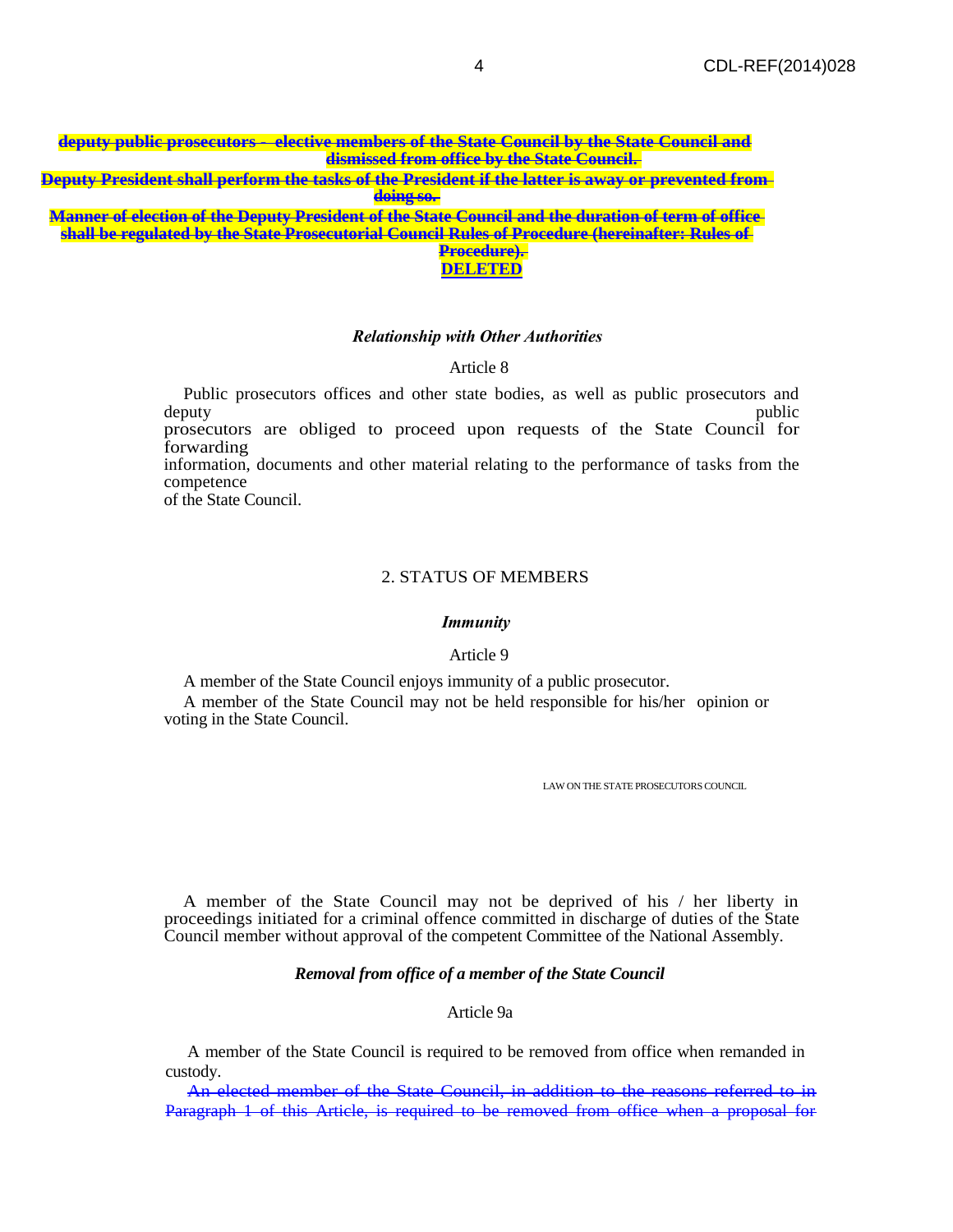| deputy public prosecutors - elective members of the State Council by the State Council and                    |
|---------------------------------------------------------------------------------------------------------------|
| dismissed from office by the State Council.                                                                   |
| <del>Deputy President shall perform the tasks of the President if the latter is away or prevented from-</del> |
| doing so.                                                                                                     |
| Manner of election of the Deputy President of the State Council and the duration of term of office            |
| chall be regulated by the State Presecutorial Council Pules of Precedure (bereinafter: Pules of               |

**shall be regulated by the State Prosecutorial Council Rules of Procedure (hereinafter: Rules of Procedure).** 

# **DELETED**

## *Relationship with Other Authorities*

## Article 8

Public prosecutors offices and other state bodies, as well as public prosecutors and deputy deputy public public prosecutors are obliged to proceed upon requests of the State Council for forwarding information, documents and other material relating to the performance of tasks from the competence of the State Council.

## 2. STATUS OF MEMBERS

#### *Immunity*

#### Article 9

A member of the State Council enjoys immunity of a public prosecutor.

A member of the State Council may not be held responsible for his/her opinion or voting in the State Council.

LAW ON THE STATE PROSECUTORS COUNCIL

A member of the State Council may not be deprived of his / her liberty in proceedings initiated for a criminal offence committed in discharge of duties of the State Council member without approval of the competent Committee of the National Assembly.

## *Removal from office of a member of the State Council*

## Article 9a

A member of the State Council is required to be removed from office when remanded in custody.

An elected member of the State Council, in addition to the reasons referred to in Paragraph 1 of this Article, is required to be removed from office when a proposal for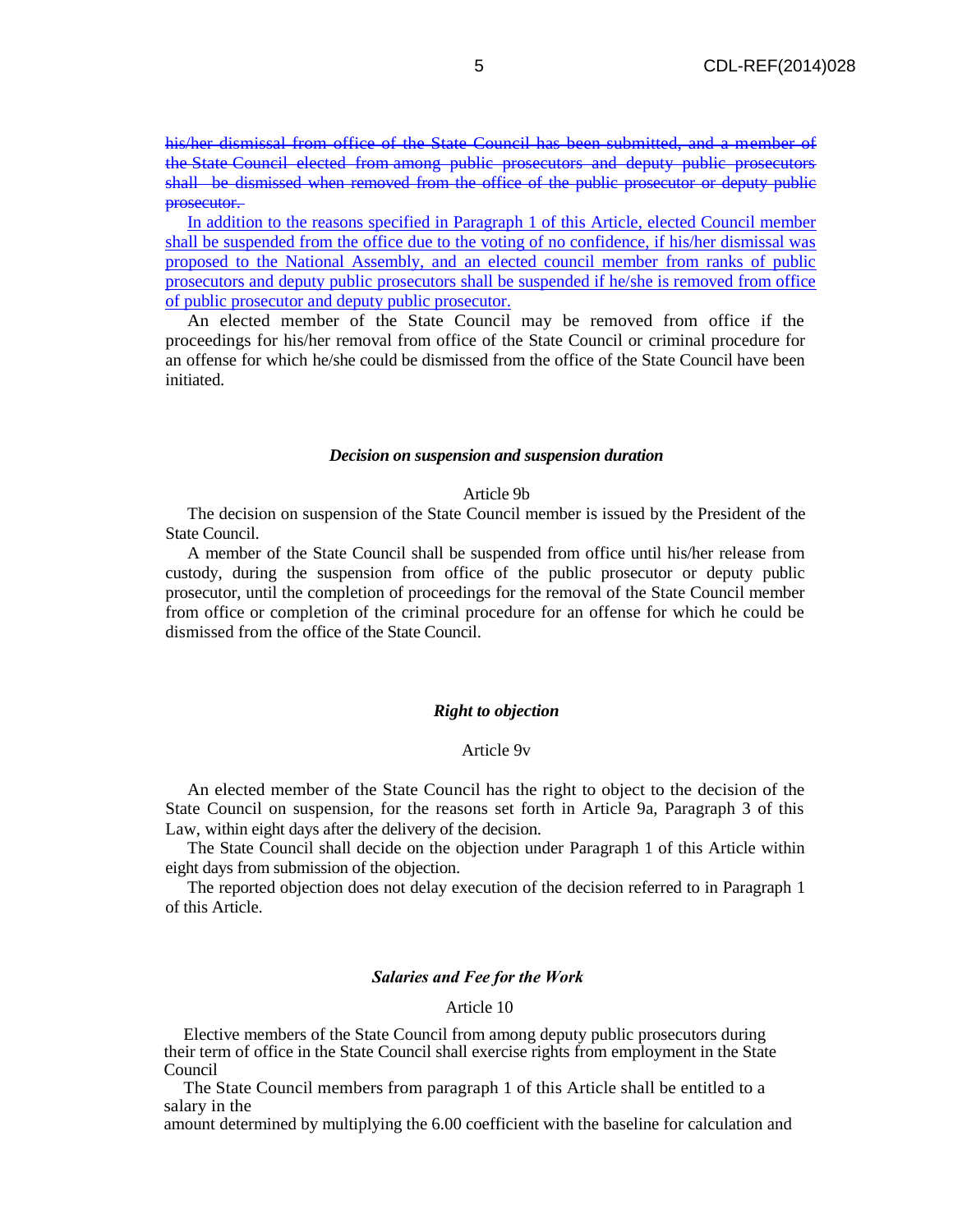his/her dismissal from office of the State Council has been submitted, and a member of the State Council elected from among public prosecutors and deputy public prosecutors shall be dismissed when removed from the office of the public prosecutor or deputy public prosecutor.

In addition to the reasons specified in Paragraph 1 of this Article, elected Council member shall be suspended from the office due to the voting of no confidence, if his/her dismissal was proposed to the National Assembly, and an elected council member from ranks of public prosecutors and deputy public prosecutors shall be suspended if he/she is removed from office of public prosecutor and deputy public prosecutor.

An elected member of the State Council may be removed from office if the proceedings for his/her removal from office of the State Council or criminal procedure for an offense for which he/she could be dismissed from the office of the State Council have been initiated.

#### *Decision on suspension and suspension duration*

#### Article 9b

The decision on suspension of the State Council member is issued by the President of the State Council.

A member of the State Council shall be suspended from office until his/her release from custody, during the suspension from office of the public prosecutor or deputy public prosecutor, until the completion of proceedings for the removal of the State Council member from office or completion of the criminal procedure for an offense for which he could be dismissed from the office of the State Council.

## *Right to objection*

## Article 9v

An elected member of the State Council has the right to object to the decision of the State Council on suspension, for the reasons set forth in Article 9a, Paragraph 3 of this Law, within eight days after the delivery of the decision.

The State Council shall decide on the objection under Paragraph 1 of this Article within eight days from submission of the objection.

The reported objection does not delay execution of the decision referred to in Paragraph 1 of this Article.

#### *Salaries and Fee for the Work*

## Article 10

Elective members of the State Council from among deputy public prosecutors during their term of office in the State Council shall exercise rights from employment in the State Council

The State Council members from paragraph 1 of this Article shall be entitled to a salary in the

amount determined by multiplying the 6.00 coefficient with the baseline for calculation and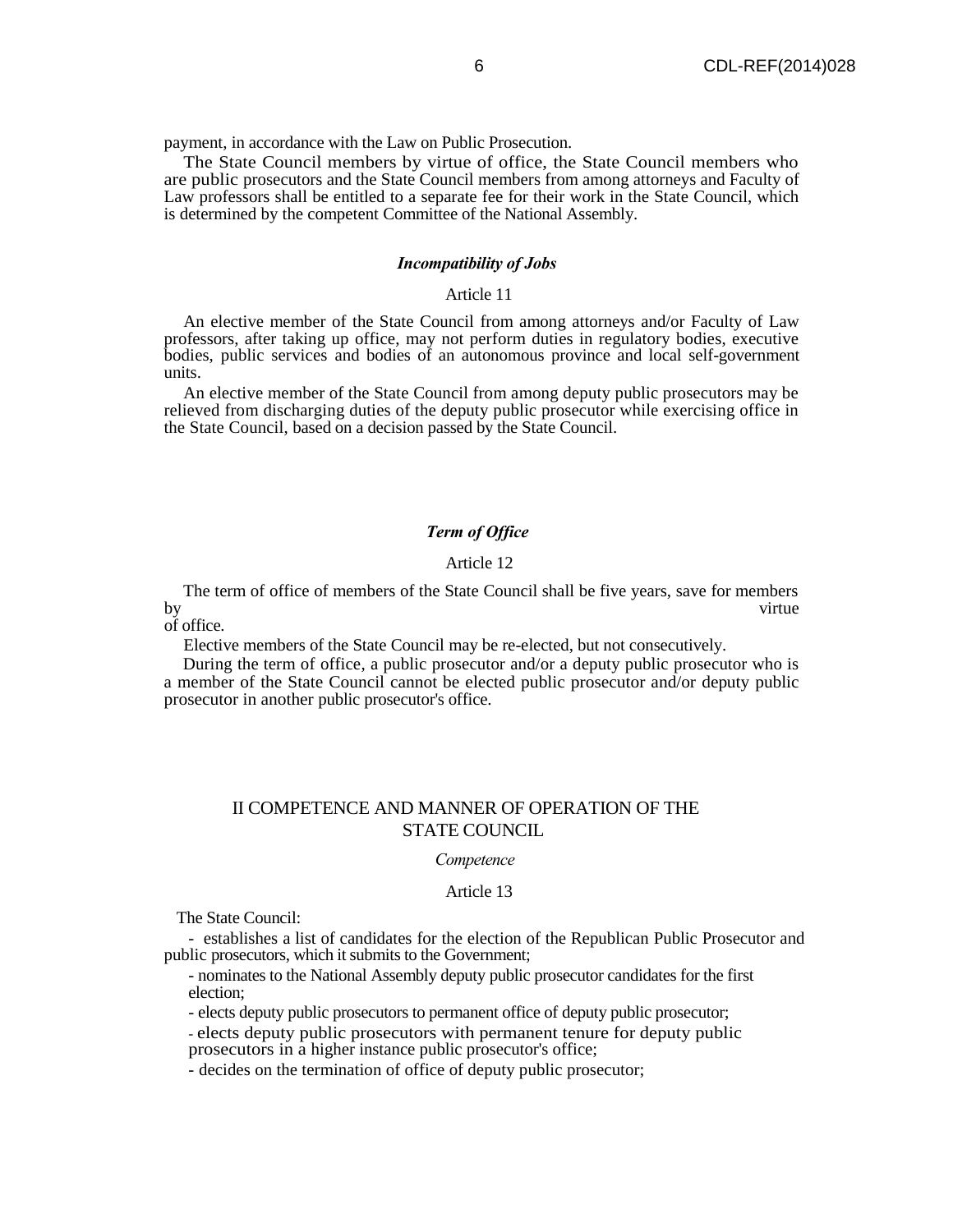payment, in accordance with the Law on Public Prosecution.

The State Council members by virtue of office, the State Council members who are public prosecutors and the State Council members from among attorneys and Faculty of Law professors shall be entitled to a separate fee for their work in the State Council, which is determined by the competent Committee of the National Assembly.

## *Incompatibility of Jobs*

#### Article 11

An elective member of the State Council from among attorneys and/or Faculty of Law professors, after taking up office, may not perform duties in regulatory bodies, executive bodies, public services and bodies of an autonomous province and local self-government units.

An elective member of the State Council from among deputy public prosecutors may be relieved from discharging duties of the deputy public prosecutor while exercising office in the State Council, based on a decision passed by the State Council.

## *Term of Office*

#### Article 12

The term of office of members of the State Council shall be five years, save for members by virtue

of office.

Elective members of the State Council may be re-elected, but not consecutively.

During the term of office, a public prosecutor and/or a deputy public prosecutor who is a member of the State Council cannot be elected public prosecutor and/or deputy public prosecutor in another public prosecutor's office.

## II COMPETENCE AND MANNER OF OPERATION OF THE STATE COUNCIL

#### *Competence*

#### Article 13

The State Council:

- establishes a list of candidates for the election of the Republican Public Prosecutor and public prosecutors, which it submits to the Government;

- nominates to the National Assembly deputy public prosecutor candidates for the first election;

- elects deputy public prosecutors to permanent office of deputy public prosecutor;

- elects deputy public prosecutors with permanent tenure for deputy public

prosecutors in a higher instance public prosecutor's office;

- decides on the termination of office of deputy public prosecutor;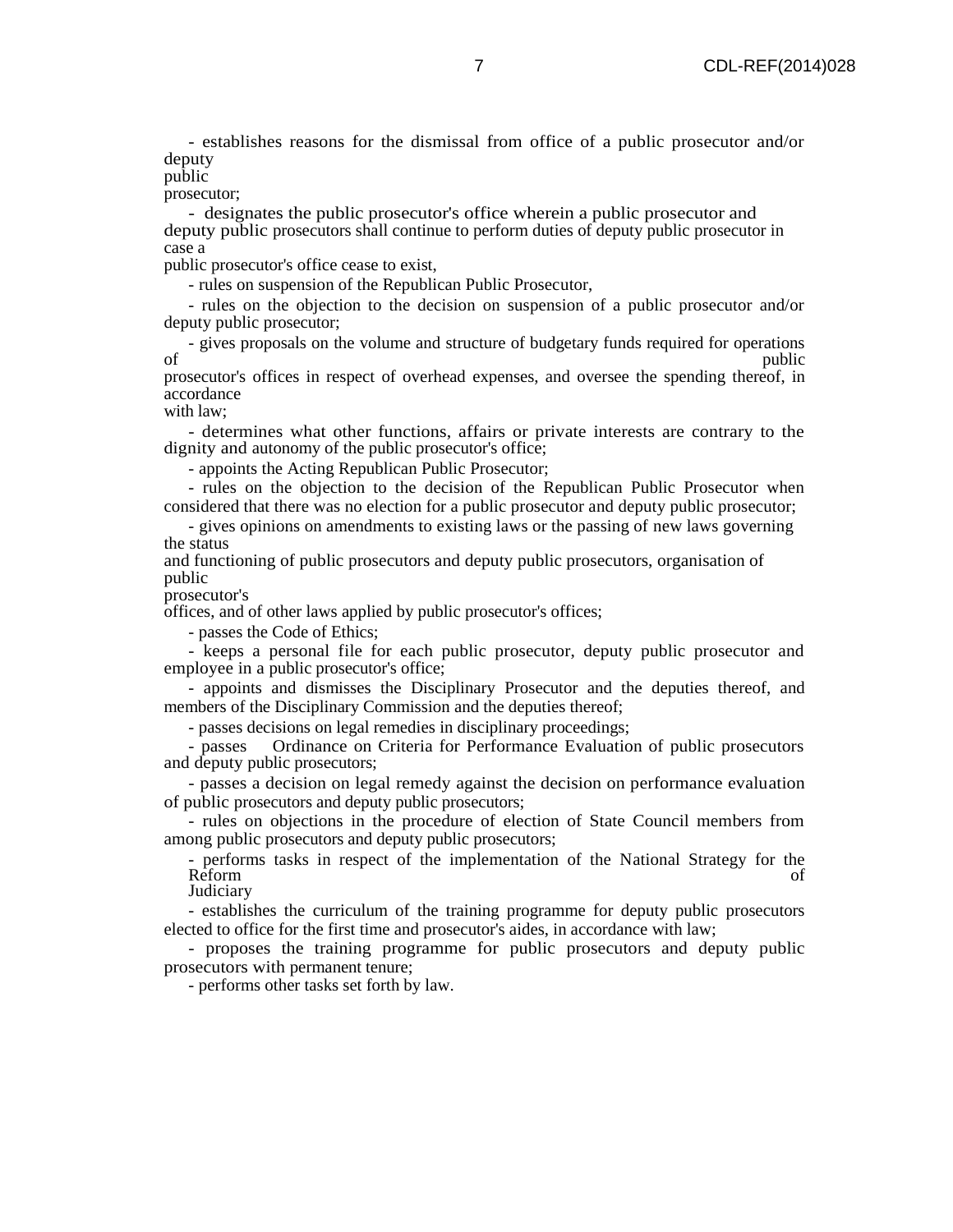- establishes reasons for the dismissal from office of a public prosecutor and/or deputy

public

prosecutor;

- designates the public prosecutor's office wherein a public prosecutor and deputy public prosecutors shall continue to perform duties of deputy public prosecutor in case a

public prosecutor's office cease to exist,

- rules on suspension of the Republican Public Prosecutor,

- rules on the objection to the decision on suspension of a public prosecutor and/or deputy public prosecutor;

- gives proposals on the volume and structure of budgetary funds required for operations of public public

prosecutor's offices in respect of overhead expenses, and oversee the spending thereof, in accordance

with law;

- determines what other functions, affairs or private interests are contrary to the dignity and autonomy of the public prosecutor's office;

- appoints the Acting Republican Public Prosecutor;

- rules on the objection to the decision of the Republican Public Prosecutor when considered that there was no election for a public prosecutor and deputy public prosecutor;

- gives opinions on amendments to existing laws or the passing of new laws governing the status

and functioning of public prosecutors and deputy public prosecutors, organisation of public

prosecutor's

offices, and of other laws applied by public prosecutor's offices;

- passes the Code of Ethics;

- keeps a personal file for each public prosecutor, deputy public prosecutor and employee in a public prosecutor's office;

- appoints and dismisses the Disciplinary Prosecutor and the deputies thereof, and members of the Disciplinary Commission and the deputies thereof;

- passes decisions on legal remedies in disciplinary proceedings;

- passes Ordinance on Criteria for Performance Evaluation of public prosecutors and deputy public prosecutors;

- passes a decision on legal remedy against the decision on performance evaluation of public prosecutors and deputy public prosecutors;

- rules on objections in the procedure of election of State Council members from among public prosecutors and deputy public prosecutors;

- performs tasks in respect of the implementation of the National Strategy for the Reform of the contract of the contract of the contract of the contract of the contract of the contract of the contract of the contract of the contract of the contract of the contract of the contract of the contract of the **Judiciary** 

- establishes the curriculum of the training programme for deputy public prosecutors elected to office for the first time and prosecutor's aides, in accordance with law;

- proposes the training programme for public prosecutors and deputy public prosecutors with permanent tenure;

- performs other tasks set forth by law.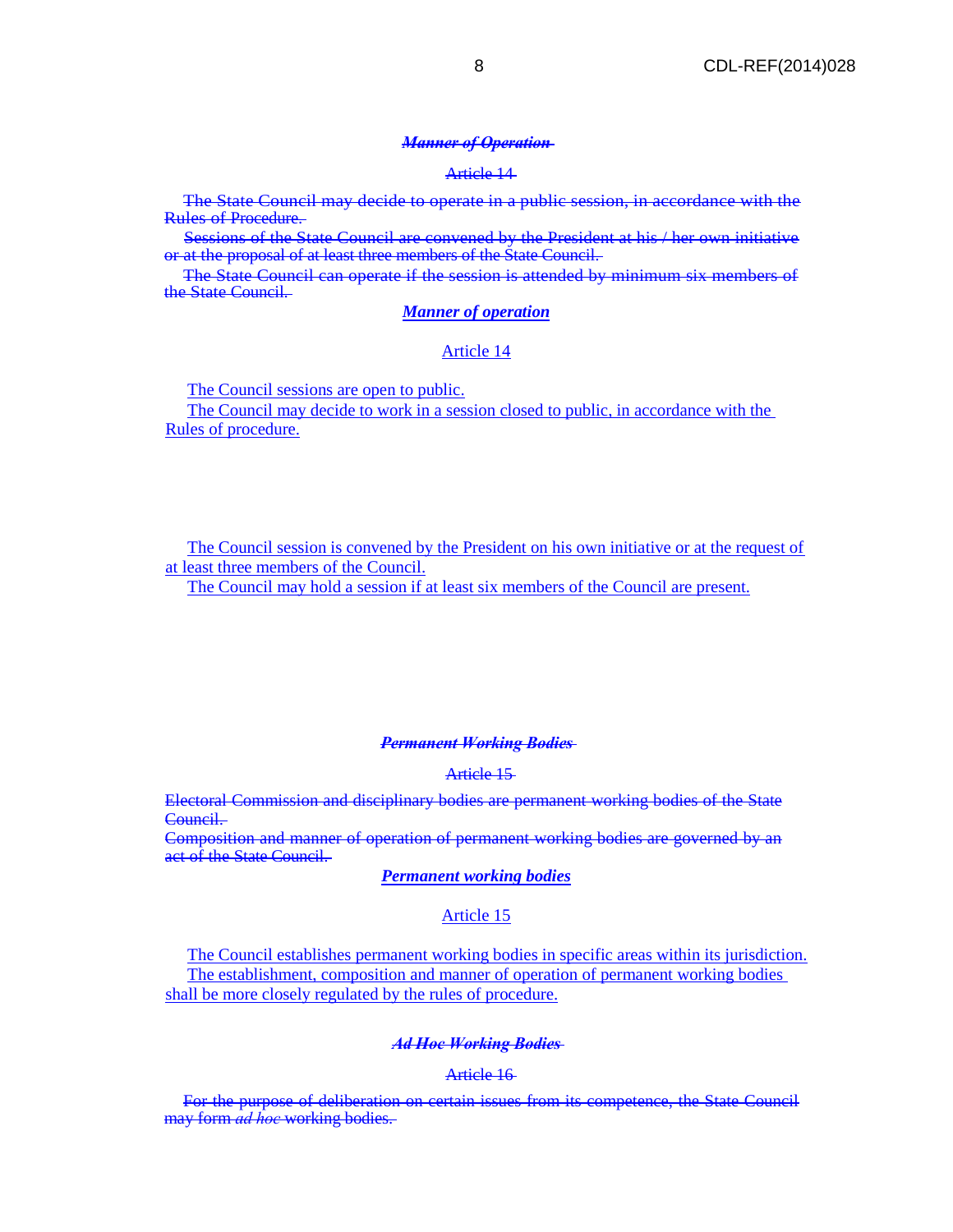#### *Manner of Operation*

#### Article 14

The State Council may decide to operate in a public session, in accordance with the Rules of Procedure.

Sessions of the State Council are convened by the President at his / her own initiative or at the proposal of at least three members of the State Council.

The State Council can operate if the session is attended by minimum six members of the State Council.

#### *Manner of operation*

#### Article 14

The Council sessions are open to public.

The Council may decide to work in a session closed to public, in accordance with the Rules of procedure.

The Council session is convened by the President on his own initiative or at the request of at least three members of the Council.

The Council may hold a session if at least six members of the Council are present.

#### *Permanent Working Bodies*

## Article 15

Electoral Commission and disciplinary bodies are permanent working bodies of the State Council.

Composition and manner of operation of permanent working bodies are governed by an act of the State Council.

## *Permanent working bodies*

## Article 15

The Council establishes permanent working bodies in specific areas within its jurisdiction. The establishment, composition and manner of operation of permanent working bodies shall be more closely regulated by the rules of procedure.

#### *Ad Hoc Working Bodies*

#### Article 16

For the purpose of deliberation on certain issues from its competence, the State Council may form *ad hoc* working bodies.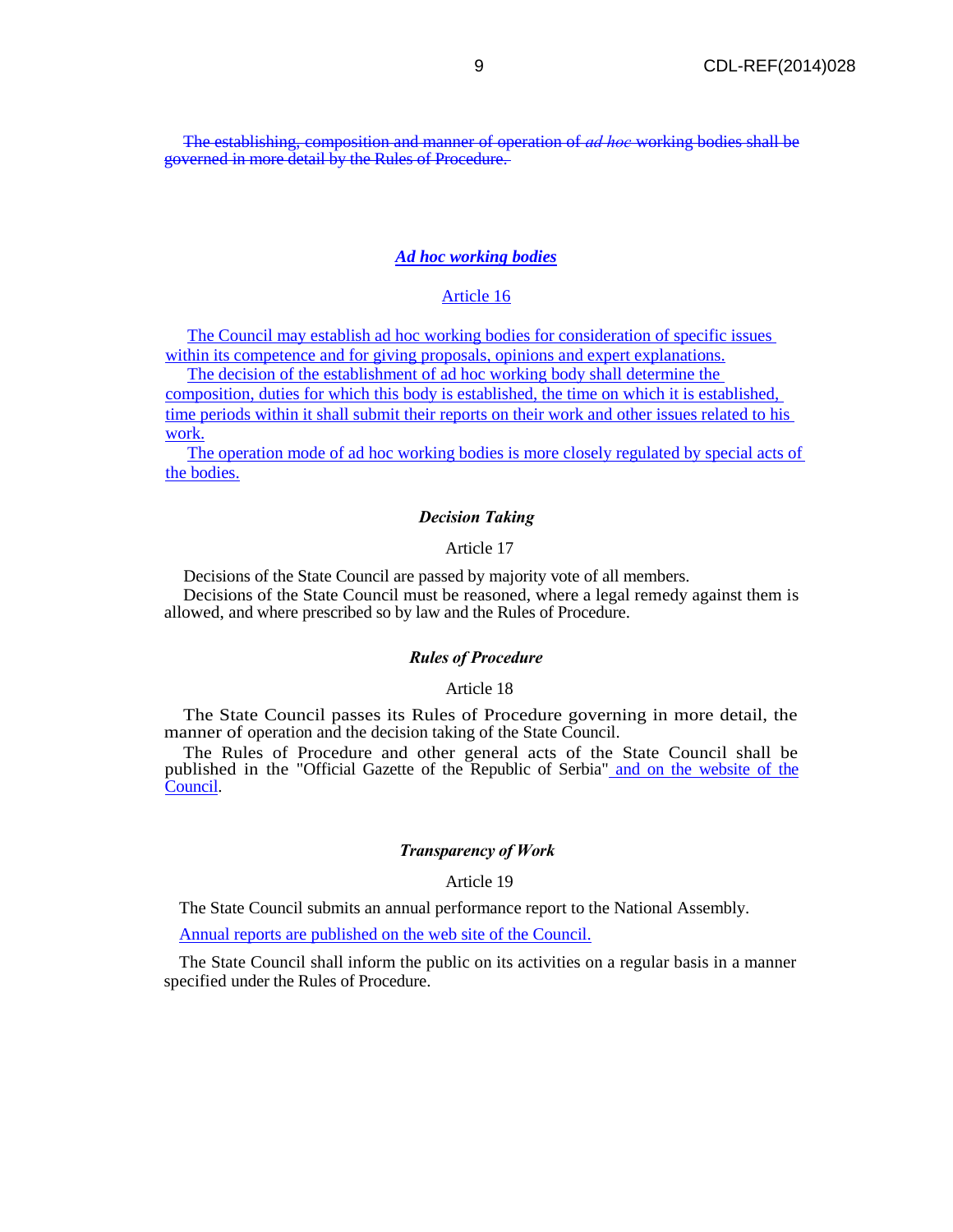The establishing, composition and manner of operation of *ad hoc* working bodies shall be governed in more detail by the Rules of Procedure.

## *Ad hoc working bodies*

## Article 16

The Council may establish ad hoc working bodies for consideration of specific issues within its competence and for giving proposals, opinions and expert explanations.

The decision of the establishment of ad hoc working body shall determine the

composition, duties for which this body is established, the time on which it is established, time periods within it shall submit their reports on their work and other issues related to his work.

The operation mode of ad hoc working bodies is more closely regulated by special acts of the bodies.

#### *Decision Taking*

#### Article 17

Decisions of the State Council are passed by majority vote of all members.

Decisions of the State Council must be reasoned, where a legal remedy against them is allowed, and where prescribed so by law and the Rules of Procedure.

#### *Rules of Procedure*

Article 18

The State Council passes its Rules of Procedure governing in more detail, the manner of operation and the decision taking of the State Council.

The Rules of Procedure and other general acts of the State Council shall be published in the "Official Gazette of the Republic of Serbia" and on the website of the Council.

#### *Transparency of Work*

Article 19

The State Council submits an annual performance report to the National Assembly.

Annual reports are published on the web site of the Council.

The State Council shall inform the public on its activities on a regular basis in a manner specified under the Rules of Procedure.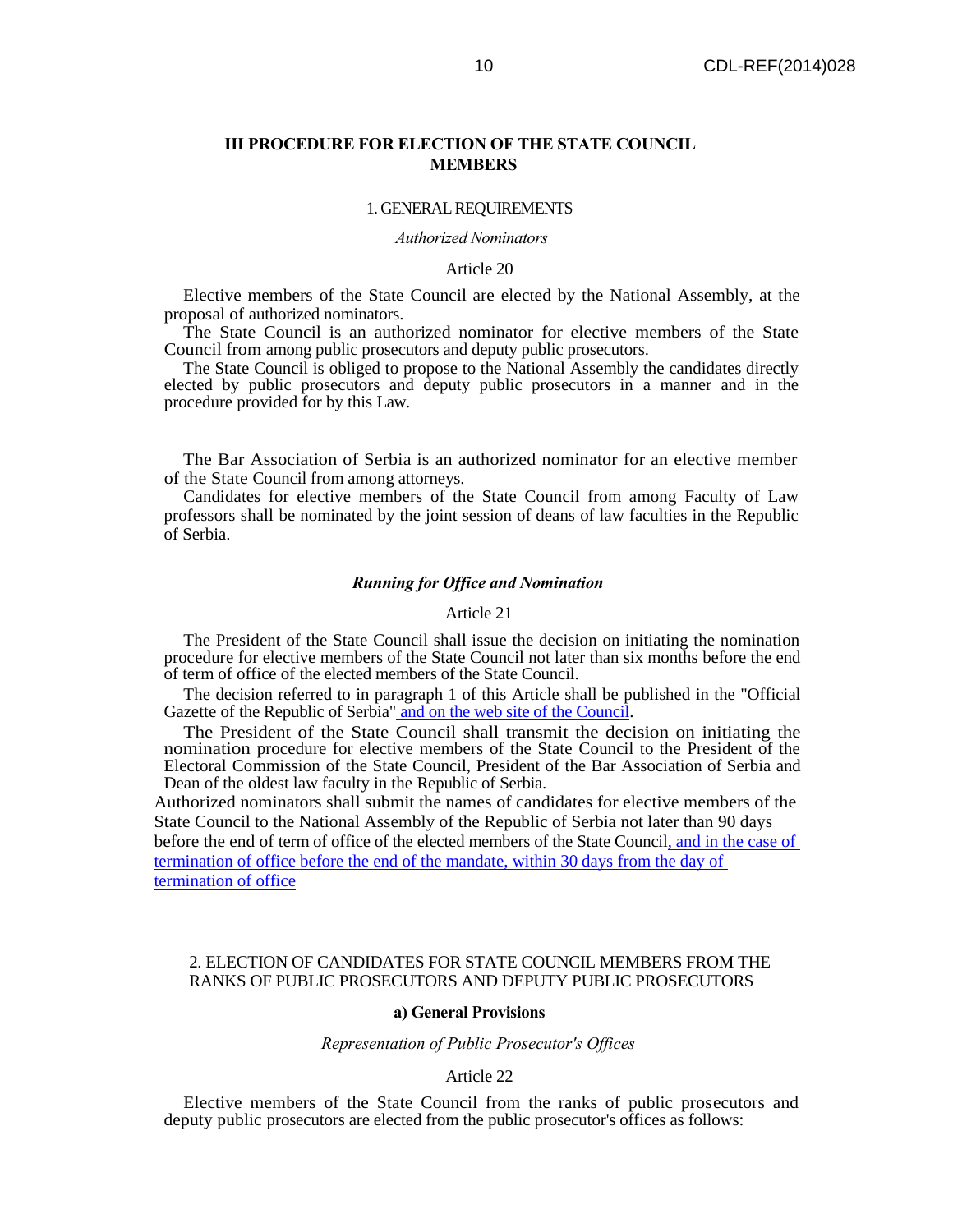## **III PROCEDURE FOR ELECTION OF THE STATE COUNCIL MEMBERS**

#### 1. GENERAL REQUIREMENTS

*Authorized Nominators* 

#### Article 20

Elective members of the State Council are elected by the National Assembly, at the proposal of authorized nominators.

The State Council is an authorized nominator for elective members of the State Council from among public prosecutors and deputy public prosecutors.

The State Council is obliged to propose to the National Assembly the candidates directly elected by public prosecutors and deputy public prosecutors in a manner and in the procedure provided for by this Law.

The Bar Association of Serbia is an authorized nominator for an elective member of the State Council from among attorneys.

Candidates for elective members of the State Council from among Faculty of Law professors shall be nominated by the joint session of deans of law faculties in the Republic of Serbia.

#### *Running for Office and Nomination*

#### Article 21

The President of the State Council shall issue the decision on initiating the nomination procedure for elective members of the State Council not later than six months before the end of term of office of the elected members of the State Council.

The decision referred to in paragraph 1 of this Article shall be published in the "Official Gazette of the Republic of Serbia" and on the web site of the Council.

The President of the State Council shall transmit the decision on initiating the nomination procedure for elective members of the State Council to the President of the Electoral Commission of the State Council, President of the Bar Association of Serbia and Dean of the oldest law faculty in the Republic of Serbia.

Authorized nominators shall submit the names of candidates for elective members of the State Council to the National Assembly of the Republic of Serbia not later than 90 days before the end of term of office of the elected members of the State Council, and in the case of termination of office before the end of the mandate, within 30 days from the day of termination of office

#### 2. ELECTION OF CANDIDATES FOR STATE COUNCIL MEMBERS FROM THE RANKS OF PUBLIC PROSECUTORS AND DEPUTY PUBLIC PROSECUTORS

#### **a) General Provisions**

#### *Representation of Public Prosecutor's Offices*

#### Article 22

Elective members of the State Council from the ranks of public prosecutors and deputy public prosecutors are elected from the public prosecutor's offices as follows: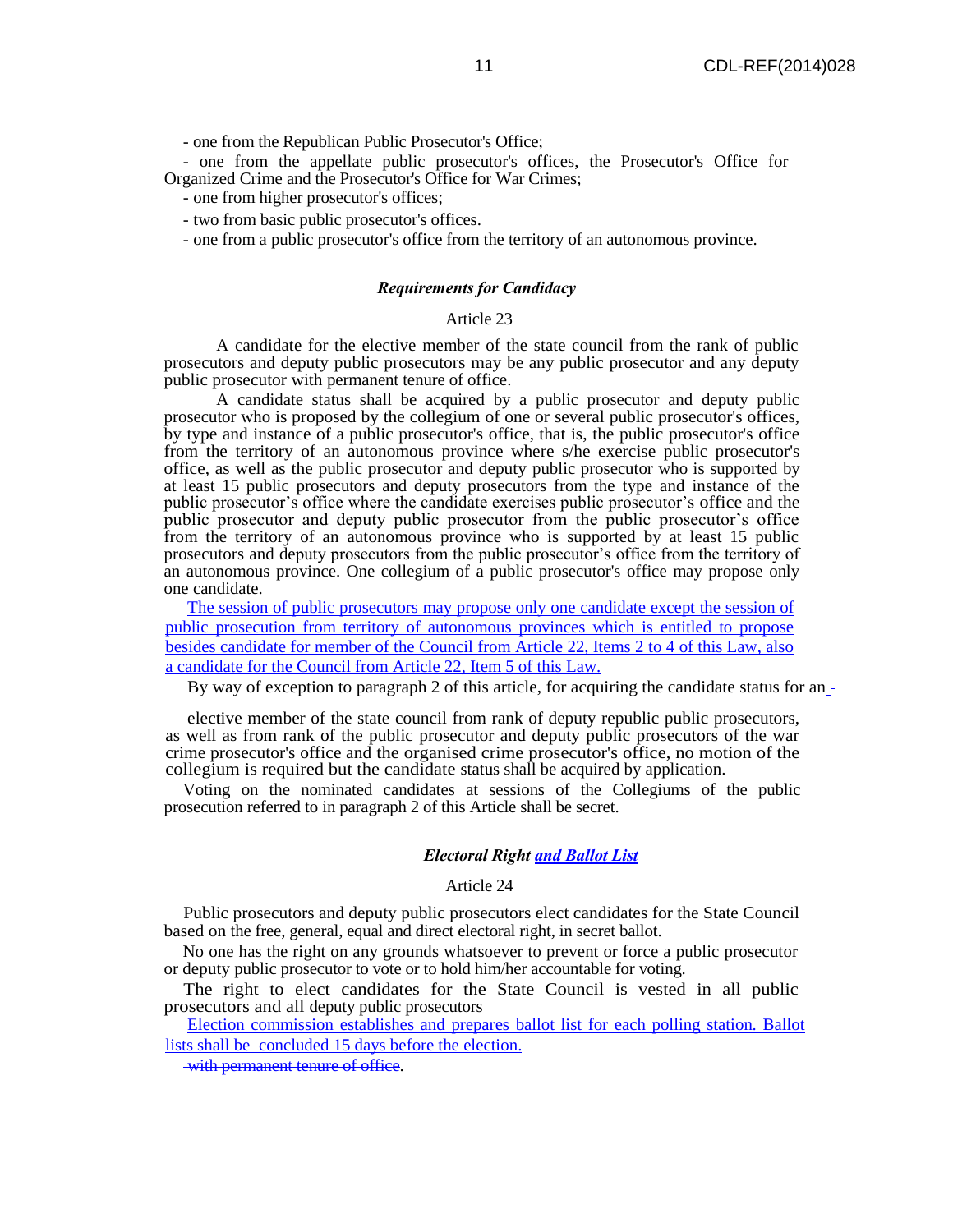- one from the Republican Public Prosecutor's Office;

- one from the appellate public prosecutor's offices, the Prosecutor's Office for Organized Crime and the Prosecutor's Office for War Crimes;

- one from higher prosecutor's offices;

- two from basic public prosecutor's offices.
- one from a public prosecutor's office from the territory of an autonomous province.

#### *Requirements for Candidacy*

## Article 23

A candidate for the elective member of the state council from the rank of public prosecutors and deputy public prosecutors may be any public prosecutor and any deputy public prosecutor with permanent tenure of office.

A candidate status shall be acquired by a public prosecutor and deputy public prosecutor who is proposed by the collegium of one or several public prosecutor's offices, by type and instance of a public prosecutor's office, that is, the public prosecutor's office from the territory of an autonomous province where s/he exercise public prosecutor's office, as well as the public prosecutor and deputy public prosecutor who is supported by at least 15 public prosecutors and deputy prosecutors from the type and instance of the public prosecutor's office where the candidate exercises public prosecutor's office and the public prosecutor and deputy public prosecutor from the public prosecutor's office from the territory of an autonomous province who is supported by at least 15 public prosecutors and deputy prosecutors from the public prosecutor's office from the territory of an autonomous province. One collegium of a public prosecutor's office may propose only one candidate.

The session of public prosecutors may propose only one candidate except the session of public prosecution from territory of autonomous provinces which is entitled to propose besides candidate for member of the Council from Article 22, Items 2 to 4 of this Law, also a candidate for the Council from Article 22, Item 5 of this Law.

By way of exception to paragraph 2 of this article, for acquiring the candidate status for an -

elective member of the state council from rank of deputy republic public prosecutors, as well as from rank of the public prosecutor and deputy public prosecutors of the war crime prosecutor's office and the organised crime prosecutor's office, no motion of the collegium is required but the candidate status shall be acquired by application.

Voting on the nominated candidates at sessions of the Collegiums of the public prosecution referred to in paragraph 2 of this Article shall be secret.

## *Electoral Right and Ballot List*

#### Article 24

Public prosecutors and deputy public prosecutors elect candidates for the State Council based on the free, general, equal and direct electoral right, in secret ballot.

No one has the right on any grounds whatsoever to prevent or force a public prosecutor or deputy public prosecutor to vote or to hold him/her accountable for voting.

The right to elect candidates for the State Council is vested in all public prosecutors and all deputy public prosecutors

Election commission establishes and prepares ballot list for each polling station. Ballot lists shall be concluded 15 days before the election.

with permanent tenure of office.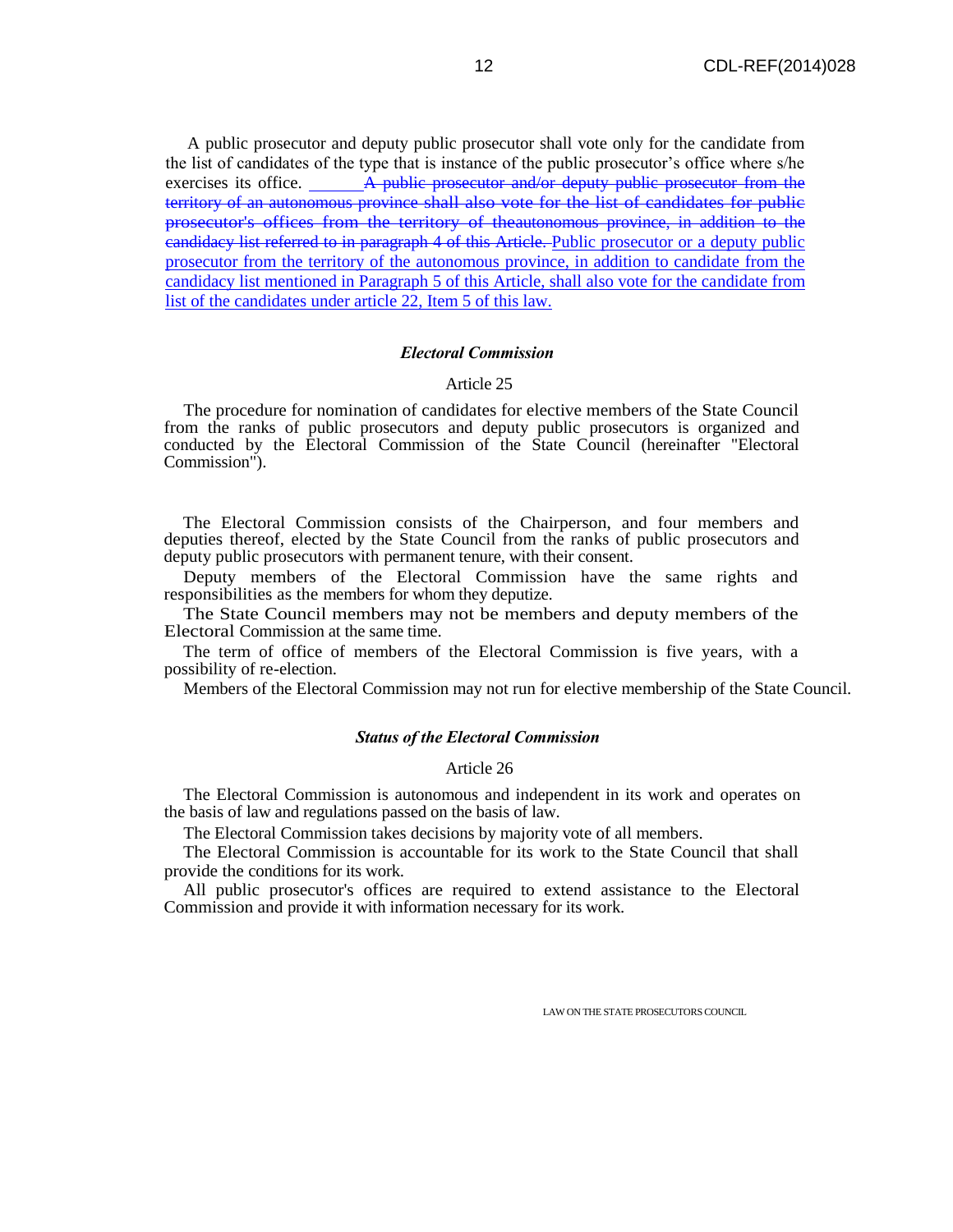A public prosecutor and deputy public prosecutor shall vote only for the candidate from the list of candidates of the type that is instance of the public prosecutor's office where s/he exercises its office. A public prosecutor and/or deputy public prosecutor from the territory of an autonomous province shall also vote for the list of candidates for public prosecutor's offices from the territory of theautonomous province, in addition to the eandidacy list referred to in paragraph 4 of this Article. Public prosecutor or a deputy public prosecutor from the territory of the autonomous province, in addition to candidate from the candidacy list mentioned in Paragraph 5 of this Article, shall also vote for the candidate from list of the candidates under article 22, Item 5 of this law.

#### *Electoral Commission*

## Article 25

The procedure for nomination of candidates for elective members of the State Council from the ranks of public prosecutors and deputy public prosecutors is organized and conducted by the Electoral Commission of the State Council (hereinafter "Electoral Commission").

The Electoral Commission consists of the Chairperson, and four members and deputies thereof, elected by the State Council from the ranks of public prosecutors and deputy public prosecutors with permanent tenure, with their consent.

Deputy members of the Electoral Commission have the same rights and responsibilities as the members for whom they deputize.

The State Council members may not be members and deputy members of the Electoral Commission at the same time.

The term of office of members of the Electoral Commission is five years, with a possibility of re-election.

Members of the Electoral Commission may not run for elective membership of the State Council.

#### *Status of the Electoral Commission*

## Article 26

The Electoral Commission is autonomous and independent in its work and operates on the basis of law and regulations passed on the basis of law.

The Electoral Commission takes decisions by majority vote of all members.

The Electoral Commission is accountable for its work to the State Council that shall provide the conditions for its work.

All public prosecutor's offices are required to extend assistance to the Electoral Commission and provide it with information necessary for its work.

LAW ON THE STATE PROSECUTORS COUNCIL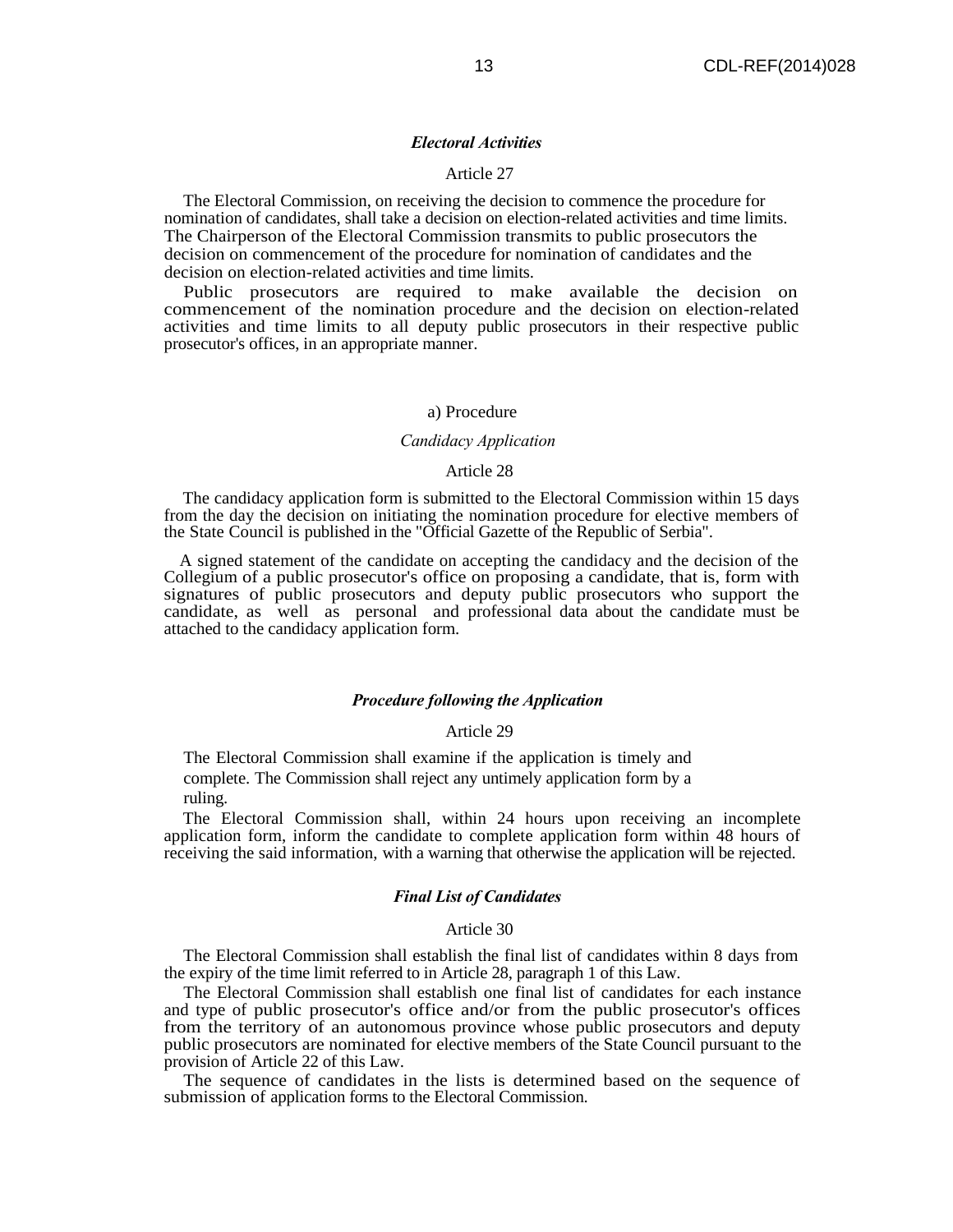#### *Electoral Activities*

#### Article 27

The Electoral Commission, on receiving the decision to commence the procedure for nomination of candidates, shall take a decision on election-related activities and time limits. The Chairperson of the Electoral Commission transmits to public prosecutors the decision on commencement of the procedure for nomination of candidates and the decision on election-related activities and time limits.

Public prosecutors are required to make available the decision on commencement of the nomination procedure and the decision on election-related activities and time limits to all deputy public prosecutors in their respective public prosecutor's offices, in an appropriate manner.

#### a) Procedure

## *Candidacy Application*

#### Article 28

The candidacy application form is submitted to the Electoral Commission within 15 days from the day the decision on initiating the nomination procedure for elective members of the State Council is published in the "Official Gazette of the Republic of Serbia".

A signed statement of the candidate on accepting the candidacy and the decision of the Collegium of a public prosecutor's office on proposing a candidate, that is, form with signatures of public prosecutors and deputy public prosecutors who support the candidate, as well as personal and professional data about the candidate must be attached to the candidacy application form.

#### *Procedure following the Application*

#### Article 29

The Electoral Commission shall examine if the application is timely and complete. The Commission shall reject any untimely application form by a ruling.

The Electoral Commission shall, within 24 hours upon receiving an incomplete application form, inform the candidate to complete application form within 48 hours of receiving the said information, with a warning that otherwise the application will be rejected.

#### *Final List of Candidates*

#### Article 30

The Electoral Commission shall establish the final list of candidates within 8 days from the expiry of the time limit referred to in Article 28, paragraph 1 of this Law.

The Electoral Commission shall establish one final list of candidates for each instance and type of public prosecutor's office and/or from the public prosecutor's offices from the territory of an autonomous province whose public prosecutors and deputy public prosecutors are nominated for elective members of the State Council pursuant to the provision of Article 22 of this Law.

The sequence of candidates in the lists is determined based on the sequence of submission of application forms to the Electoral Commission.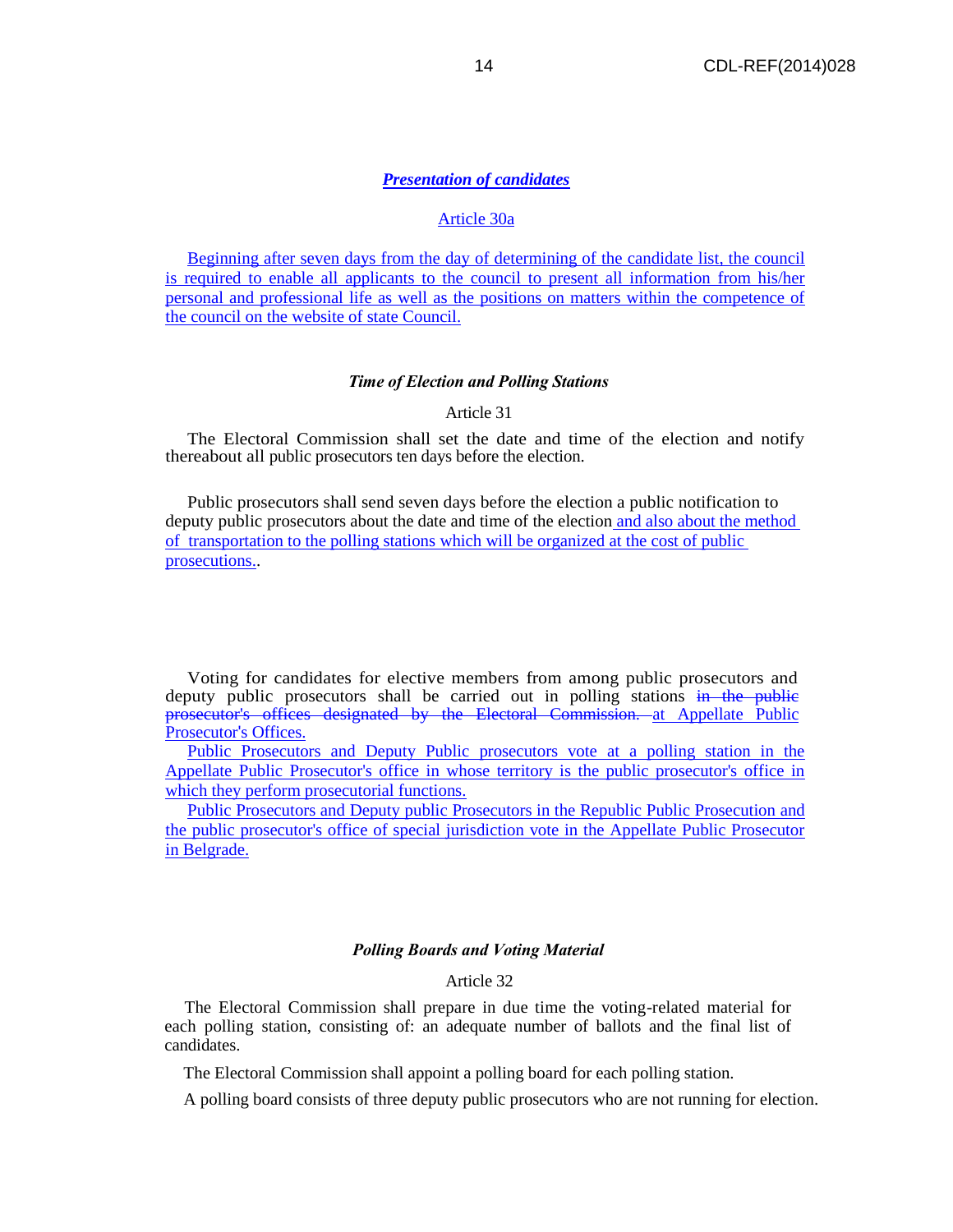## *Presentation of candidates*

## Article 30a

Beginning after seven days from the day of determining of the candidate list, the council is required to enable all applicants to the council to present all information from his/her personal and professional life as well as the positions on matters within the competence of the council on the website of state Council.

#### *Time of Election and Polling Stations*

#### Article 31

The Electoral Commission shall set the date and time of the election and notify thereabout all public prosecutors ten days before the election.

Public prosecutors shall send seven days before the election a public notification to deputy public prosecutors about the date and time of the election and also about the method of transportation to the polling stations which will be organized at the cost of public prosecutions..

Voting for candidates for elective members from among public prosecutors and deputy public prosecutors shall be carried out in polling stations in the public prosecutor's offices designated by the Electoral Commission. at Appellate Public Prosecutor's Offices.

Public Prosecutors and Deputy Public prosecutors vote at a polling station in the Appellate Public Prosecutor's office in whose territory is the public prosecutor's office in which they perform prosecutorial functions.

Public Prosecutors and Deputy public Prosecutors in the Republic Public Prosecution and the public prosecutor's office of special jurisdiction vote in the Appellate Public Prosecutor in Belgrade.

## *Polling Boards and Voting Material*

#### Article 32

The Electoral Commission shall prepare in due time the voting-related material for each polling station, consisting of: an adequate number of ballots and the final list of candidates.

The Electoral Commission shall appoint a polling board for each polling station.

A polling board consists of three deputy public prosecutors who are not running for election.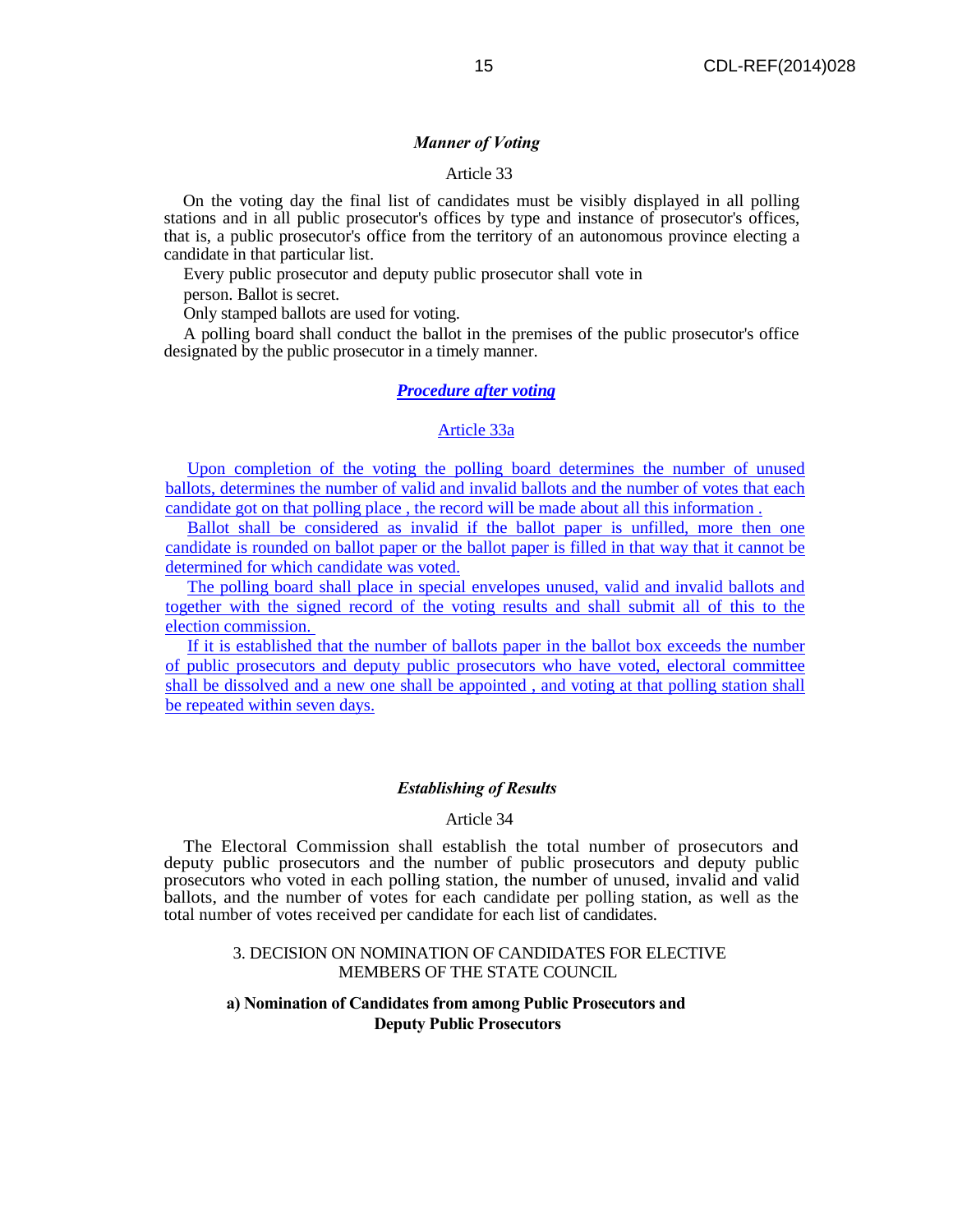#### *Manner of Voting*

### Article 33

On the voting day the final list of candidates must be visibly displayed in all polling stations and in all public prosecutor's offices by type and instance of prosecutor's offices, that is, a public prosecutor's office from the territory of an autonomous province electing a candidate in that particular list.

Every public prosecutor and deputy public prosecutor shall vote in person. Ballot is secret.

Only stamped ballots are used for voting.

A polling board shall conduct the ballot in the premises of the public prosecutor's office designated by the public prosecutor in a timely manner.

## *Procedure after voting*

#### Article 33a

Upon completion of the voting the polling board determines the number of unused ballots, determines the number of valid and invalid ballots and the number of votes that each candidate got on that polling place , the record will be made about all this information .

Ballot shall be considered as invalid if the ballot paper is unfilled, more then one candidate is rounded on ballot paper or the ballot paper is filled in that way that it cannot be determined for which candidate was voted.

The polling board shall place in special envelopes unused, valid and invalid ballots and together with the signed record of the voting results and shall submit all of this to the election commission.

If it is established that the number of ballots paper in the ballot box exceeds the number of public prosecutors and deputy public prosecutors who have voted, electoral committee shall be dissolved and a new one shall be appointed , and voting at that polling station shall be repeated within seven days.

#### *Establishing of Results*

#### Article 34

The Electoral Commission shall establish the total number of prosecutors and deputy public prosecutors and the number of public prosecutors and deputy public prosecutors who voted in each polling station, the number of unused, invalid and valid ballots, and the number of votes for each candidate per polling station, as well as the total number of votes received per candidate for each list of candidates.

#### 3. DECISION ON NOMINATION OF CANDIDATES FOR ELECTIVE MEMBERS OF THE STATE COUNCIL

## **a) Nomination of Candidates from among Public Prosecutors and Deputy Public Prosecutors**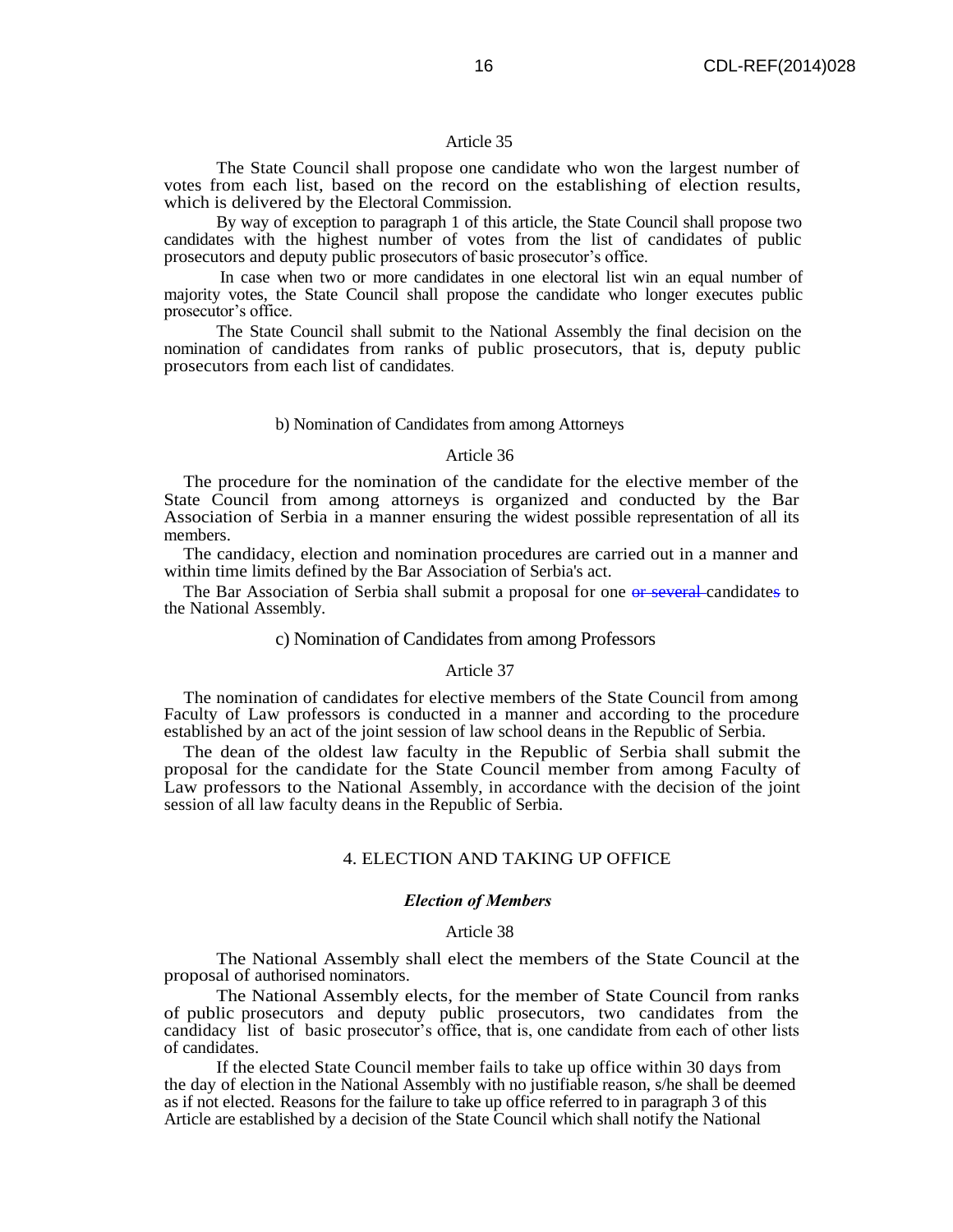#### Article 35

The State Council shall propose one candidate who won the largest number of votes from each list, based on the record on the establishing of election results, which is delivered by the Electoral Commission.

By way of exception to paragraph 1 of this article, the State Council shall propose two candidates with the highest number of votes from the list of candidates of public prosecutors and deputy public prosecutors of basic prosecutor's office.

In case when two or more candidates in one electoral list win an equal number of majority votes, the State Council shall propose the candidate who longer executes public prosecutor's office.

The State Council shall submit to the National Assembly the final decision on the nomination of candidates from ranks of public prosecutors, that is, deputy public prosecutors from each list of candidates.

#### b) Nomination of Candidates from among Attorneys

#### Article 36

The procedure for the nomination of the candidate for the elective member of the State Council from among attorneys is organized and conducted by the Bar Association of Serbia in a manner ensuring the widest possible representation of all its members.

The candidacy, election and nomination procedures are carried out in a manner and within time limits defined by the Bar Association of Serbia's act.

The Bar Association of Serbia shall submit a proposal for one or several candidates to the National Assembly.

#### c) Nomination of Candidates from among Professors

#### Article 37

The nomination of candidates for elective members of the State Council from among Faculty of Law professors is conducted in a manner and according to the procedure established by an act of the joint session of law school deans in the Republic of Serbia.

The dean of the oldest law faculty in the Republic of Serbia shall submit the proposal for the candidate for the State Council member from among Faculty of Law professors to the National Assembly, in accordance with the decision of the joint session of all law faculty deans in the Republic of Serbia.

## 4. ELECTION AND TAKING UP OFFICE

#### *Election of Members*

#### Article 38

The National Assembly shall elect the members of the State Council at the proposal of authorised nominators.

The National Assembly elects, for the member of State Council from ranks of public prosecutors and deputy public prosecutors, two candidates from the candidacy list of basic prosecutor's office, that is, one candidate from each of other lists of candidates.

If the elected State Council member fails to take up office within 30 days from the day of election in the National Assembly with no justifiable reason, s/he shall be deemed as if not elected. Reasons for the failure to take up office referred to in paragraph 3 of this Article are established by a decision of the State Council which shall notify the National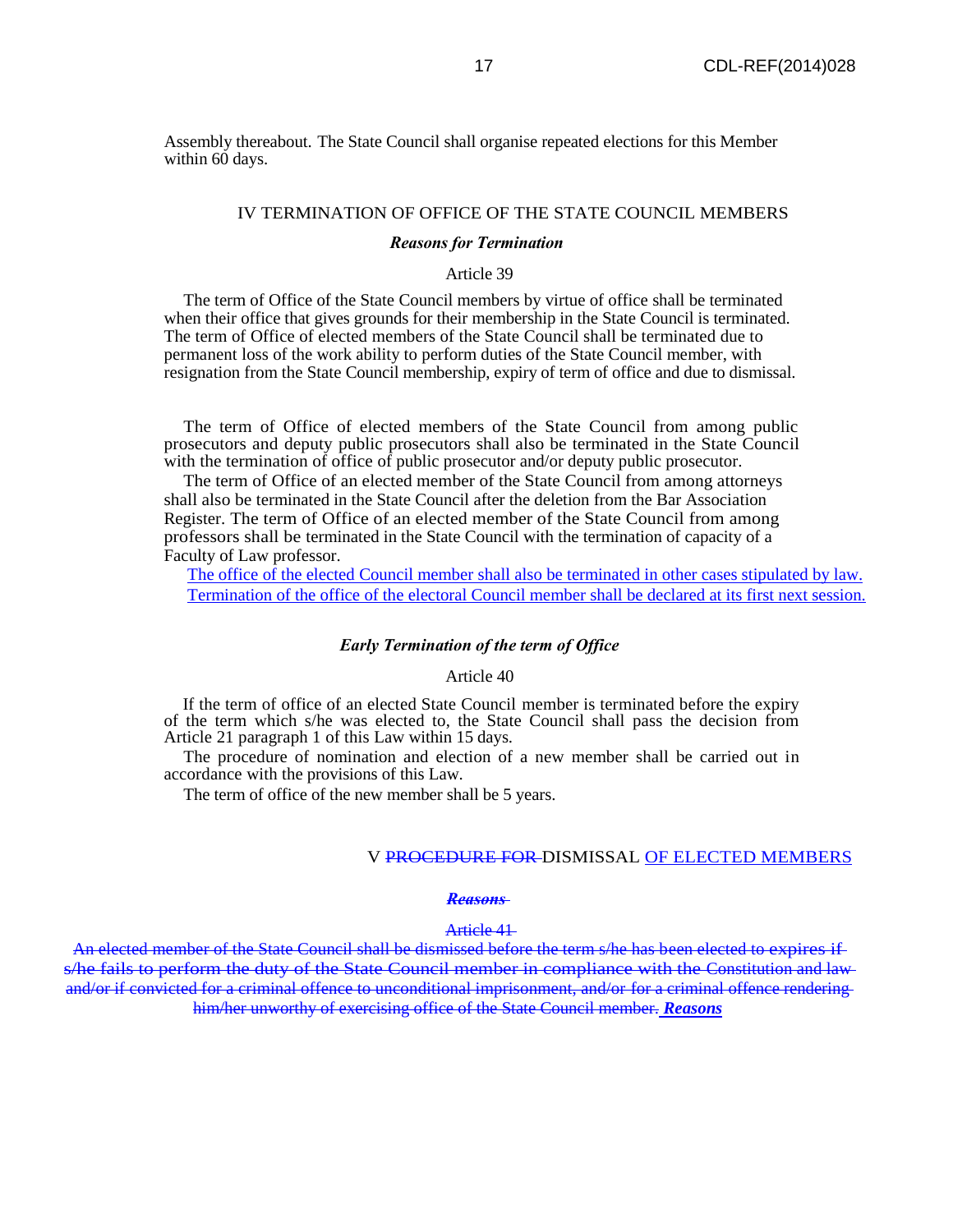Assembly thereabout. The State Council shall organise repeated elections for this Member within 60 days.

## IV TERMINATION OF OFFICE OF THE STATE COUNCIL MEMBERS

#### *Reasons for Termination*

## Article 39

The term of Office of the State Council members by virtue of office shall be terminated when their office that gives grounds for their membership in the State Council is terminated. The term of Office of elected members of the State Council shall be terminated due to permanent loss of the work ability to perform duties of the State Council member, with resignation from the State Council membership, expiry of term of office and due to dismissal.

The term of Office of elected members of the State Council from among public prosecutors and deputy public prosecutors shall also be terminated in the State Council with the termination of office of public prosecutor and/or deputy public prosecutor.

The term of Office of an elected member of the State Council from among attorneys shall also be terminated in the State Council after the deletion from the Bar Association Register. The term of Office of an elected member of the State Council from among professors shall be terminated in the State Council with the termination of capacity of a Faculty of Law professor.

The office of the elected Council member shall also be terminated in other cases stipulated by law. Termination of the office of the electoral Council member shall be declared at its first next session.

#### *Early Termination of the term of Office*

#### Article 40

If the term of office of an elected State Council member is terminated before the expiry of the term which s/he was elected to, the State Council shall pass the decision from Article 21 paragraph 1 of this Law within 15 days.

The procedure of nomination and election of a new member shall be carried out in accordance with the provisions of this Law.

The term of office of the new member shall be 5 years.

#### V PROCEDURE FOR DISMISSAL OF ELECTED MEMBERS

#### *Reasons*

#### Article 41

An elected member of the State Council shall be dismissed before the term s/he has been elected to expires if s/he fails to perform the duty of the State Council member in compliance with the Constitution and lawand/or if convicted for a criminal offence to unconditional imprisonment, and/or for a criminal offence rendering him/her unworthy of exercising office of the State Council member. *Reasons*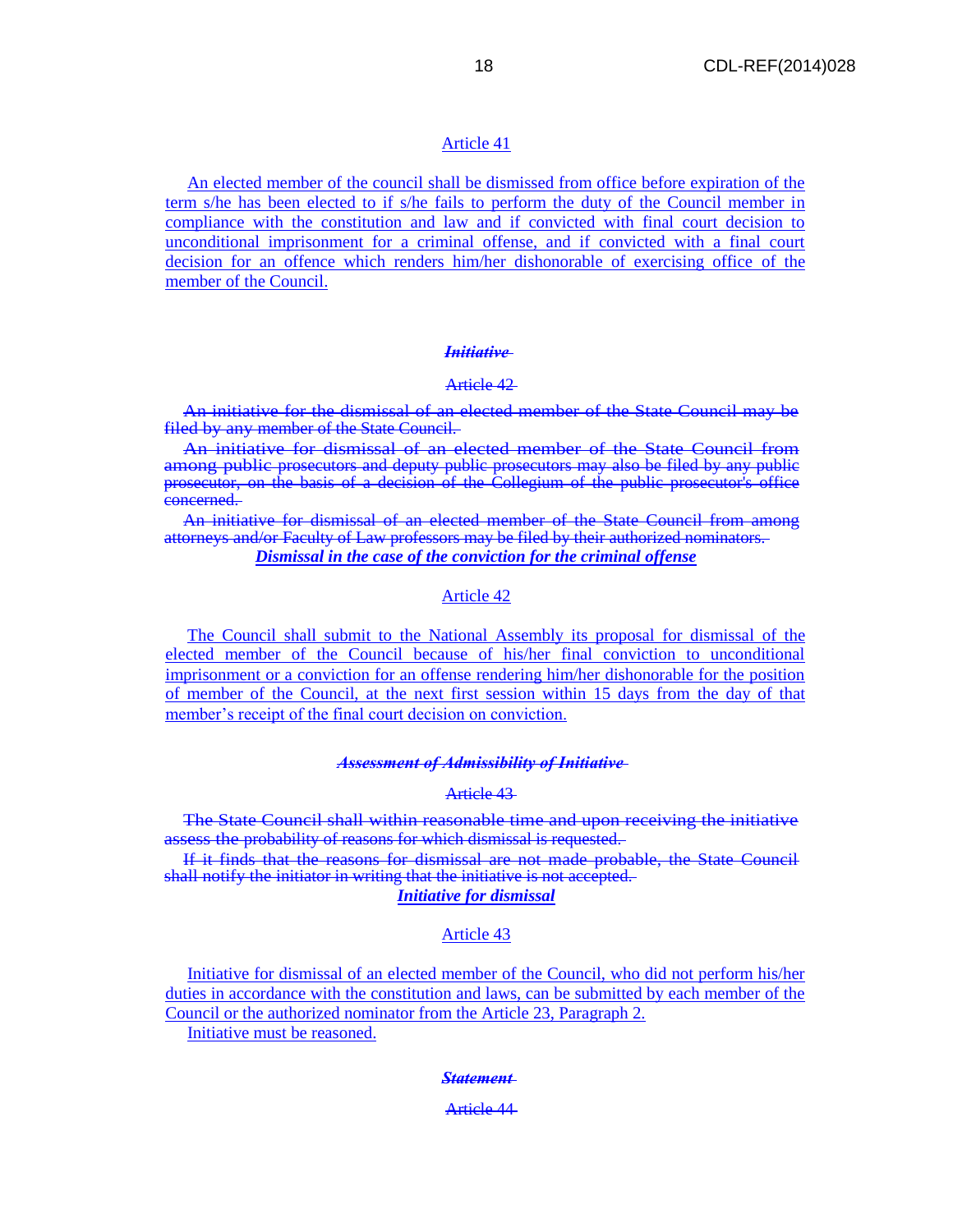## Article 41

An elected member of the council shall be dismissed from office before expiration of the term s/he has been elected to if s/he fails to perform the duty of the Council member in compliance with the constitution and law and if convicted with final court decision to unconditional imprisonment for a criminal offense, and if convicted with a final court decision for an offence which renders him/her dishonorable of exercising office of the member of the Council.

## *Initiative*

## Article 42

An initiative for the dismissal of an elected member of the State Council may be filed by any member of the State Council.

An initiative for dismissal of an elected member of the State Council from among public prosecutors and deputy public prosecutors may also be filed by any public prosecutor, on the basis of a decision of the Collegium of the public prosecutor's office concerned.

An initiative for dismissal of an elected member of the State Council from among attorneys and/or Faculty of Law professors may be filed by their authorized nominators. *Dismissal in the case of the conviction for the criminal offense*

## Article 42

The Council shall submit to the National Assembly its proposal for dismissal of the elected member of the Council because of his/her final conviction to unconditional imprisonment or a conviction for an offense rendering him/her dishonorable for the position of member of the Council, at the next first session within 15 days from the day of that member's receipt of the final court decision on conviction.

#### *Assessment of Admissibility of Initiative*

## Article 43

The State Council shall within reasonable time and upon receiving the initiative assess the probability of reasons for which dismissal is requested.

If it finds that the reasons for dismissal are not made probable, the State Council shall notify the initiator in writing that the initiative is not accepted. *Initiative for dismissal*

## Article 43

Initiative for dismissal of an elected member of the Council, who did not perform his/her duties in accordance with the constitution and laws, can be submitted by each member of the Council or the authorized nominator from the Article 23, Paragraph 2.

Initiative must be reasoned.

#### *Statement*

Article 44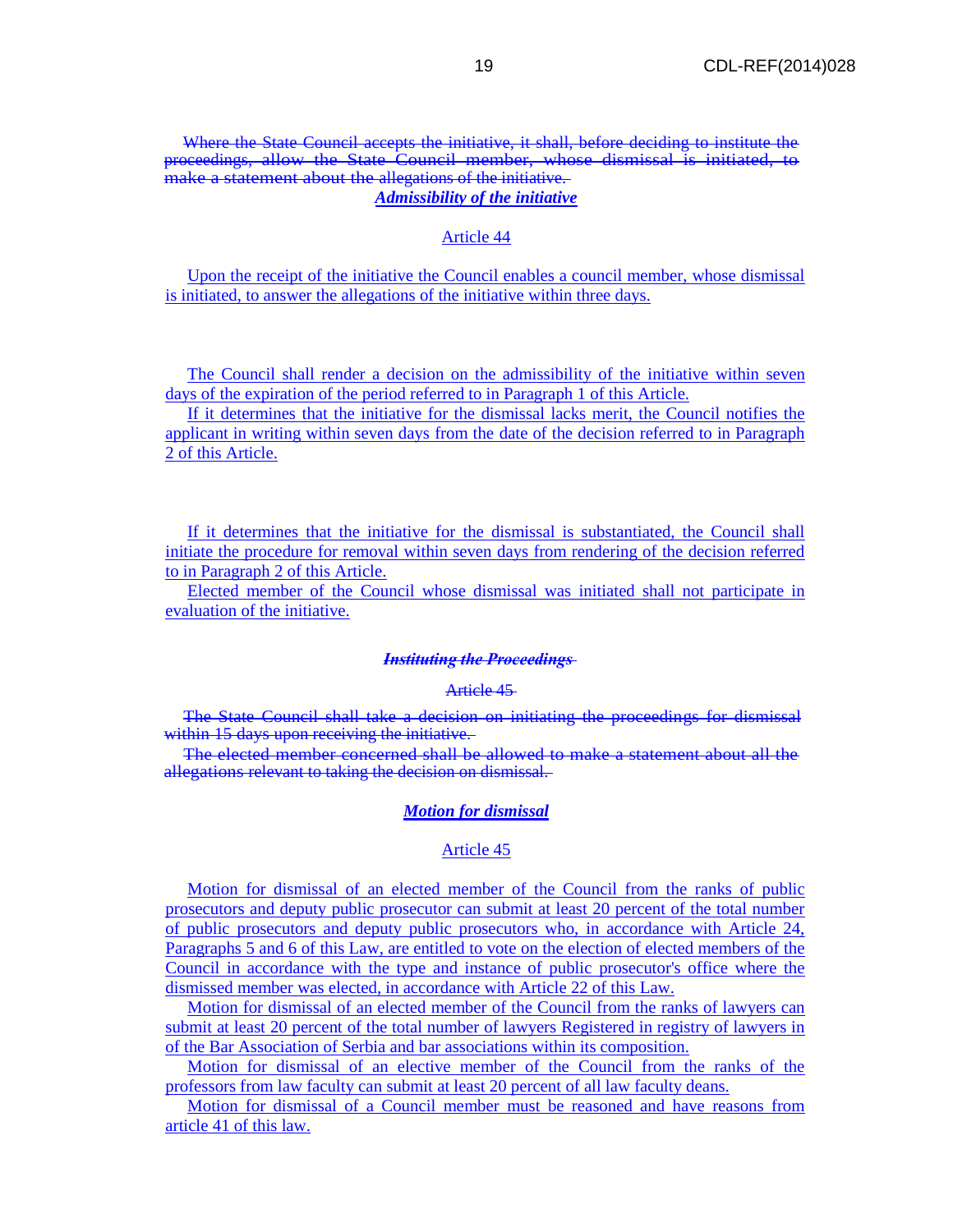## Where the State Council accepts the initiative, it shall, before deciding to institute the proceedings, allow the State Council member, whose dismissal is initiated, to make a statement about the allegations of the initiative. *Admissibility of the initiative*

#### Article 44

Upon the receipt of the initiative the Council enables a council member, whose dismissal is initiated, to answer the allegations of the initiative within three days.

The Council shall render a decision on the admissibility of the initiative within seven days of the expiration of the period referred to in Paragraph 1 of this Article.

If it determines that the initiative for the dismissal lacks merit, the Council notifies the applicant in writing within seven days from the date of the decision referred to in Paragraph 2 of this Article.

If it determines that the initiative for the dismissal is substantiated, the Council shall initiate the procedure for removal within seven days from rendering of the decision referred to in Paragraph 2 of this Article.

Elected member of the Council whose dismissal was initiated shall not participate in evaluation of the initiative.

### *Instituting the Proceedings*

#### Article 45

The State Council shall take a decision on initiating the proceedings for dismissal within 15 days upon receiving the initiative.

The elected member concerned shall be allowed to make a statement about all the allegations relevant to taking the decision on dismissal.

#### *Motion for dismissal*

#### Article 45

Motion for dismissal of an elected member of the Council from the ranks of public prosecutors and deputy public prosecutor can submit at least 20 percent of the total number of public prosecutors and deputy public prosecutors who, in accordance with Article 24, Paragraphs 5 and 6 of this Law, are entitled to vote on the election of elected members of the Council in accordance with the type and instance of public prosecutor's office where the dismissed member was elected, in accordance with Article 22 of this Law.

Motion for dismissal of an elected member of the Council from the ranks of lawyers can submit at least 20 percent of the total number of lawyers Registered in registry of lawyers in of the Bar Association of Serbia and bar associations within its composition.

Motion for dismissal of an elective member of the Council from the ranks of the professors from law faculty can submit at least 20 percent of all law faculty deans.

Motion for dismissal of a Council member must be reasoned and have reasons from article 41 of this law.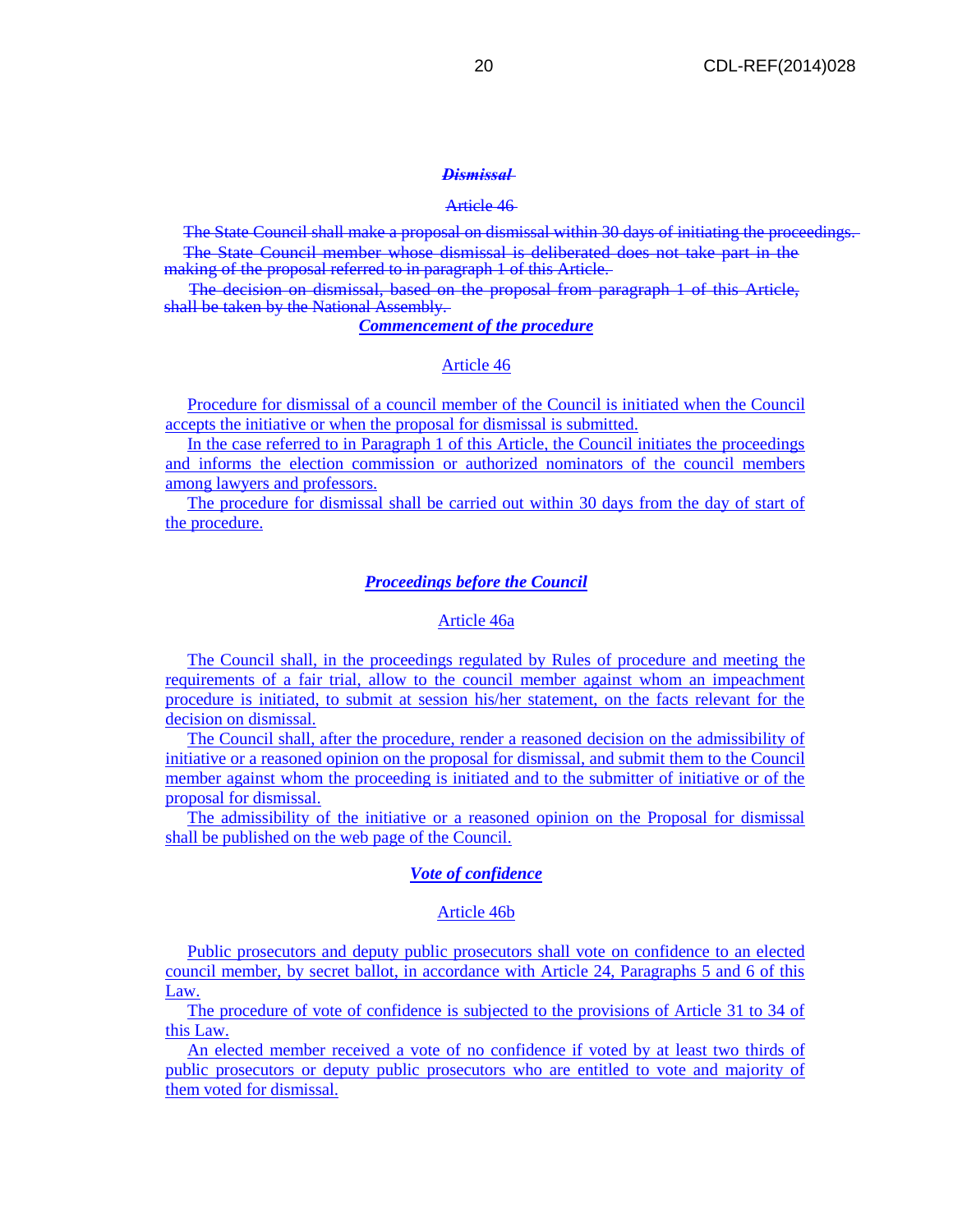#### *Dismissal*

## Article 46

The State Council shall make a proposal on dismissal within 30 days of initiating the proceedings. The State Council member whose dismissal is deliberated does not take part in the making of the proposal referred to in paragraph 1 of this Article.

The decision on dismissal, based on the proposal from paragraph 1 of this Article, shall be taken by the National Assembly.

## *Commencement of the procedure*

#### Article 46

Procedure for dismissal of a council member of the Council is initiated when the Council accepts the initiative or when the proposal for dismissal is submitted.

In the case referred to in Paragraph 1 of this Article, the Council initiates the proceedings and informs the election commission or authorized nominators of the council members among lawyers and professors.

The procedure for dismissal shall be carried out within 30 days from the day of start of the procedure.

## *Proceedings before the Council*

#### Article 46a

The Council shall, in the proceedings regulated by Rules of procedure and meeting the requirements of a fair trial, allow to the council member against whom an impeachment procedure is initiated, to submit at session his/her statement, on the facts relevant for the decision on dismissal.

The Council shall, after the procedure, render a reasoned decision on the admissibility of initiative or a reasoned opinion on the proposal for dismissal, and submit them to the Council member against whom the proceeding is initiated and to the submitter of initiative or of the proposal for dismissal.

The admissibility of the initiative or a reasoned opinion on the Proposal for dismissal shall be published on the web page of the Council.

#### *Vote of confidence*

#### Article 46b

Public prosecutors and deputy public prosecutors shall vote on confidence to an elected council member, by secret ballot, in accordance with Article 24, Paragraphs 5 and 6 of this Law.

The procedure of vote of confidence is subjected to the provisions of Article 31 to 34 of this Law.

An elected member received a vote of no confidence if voted by at least two thirds of public prosecutors or deputy public prosecutors who are entitled to vote and majority of them voted for dismissal.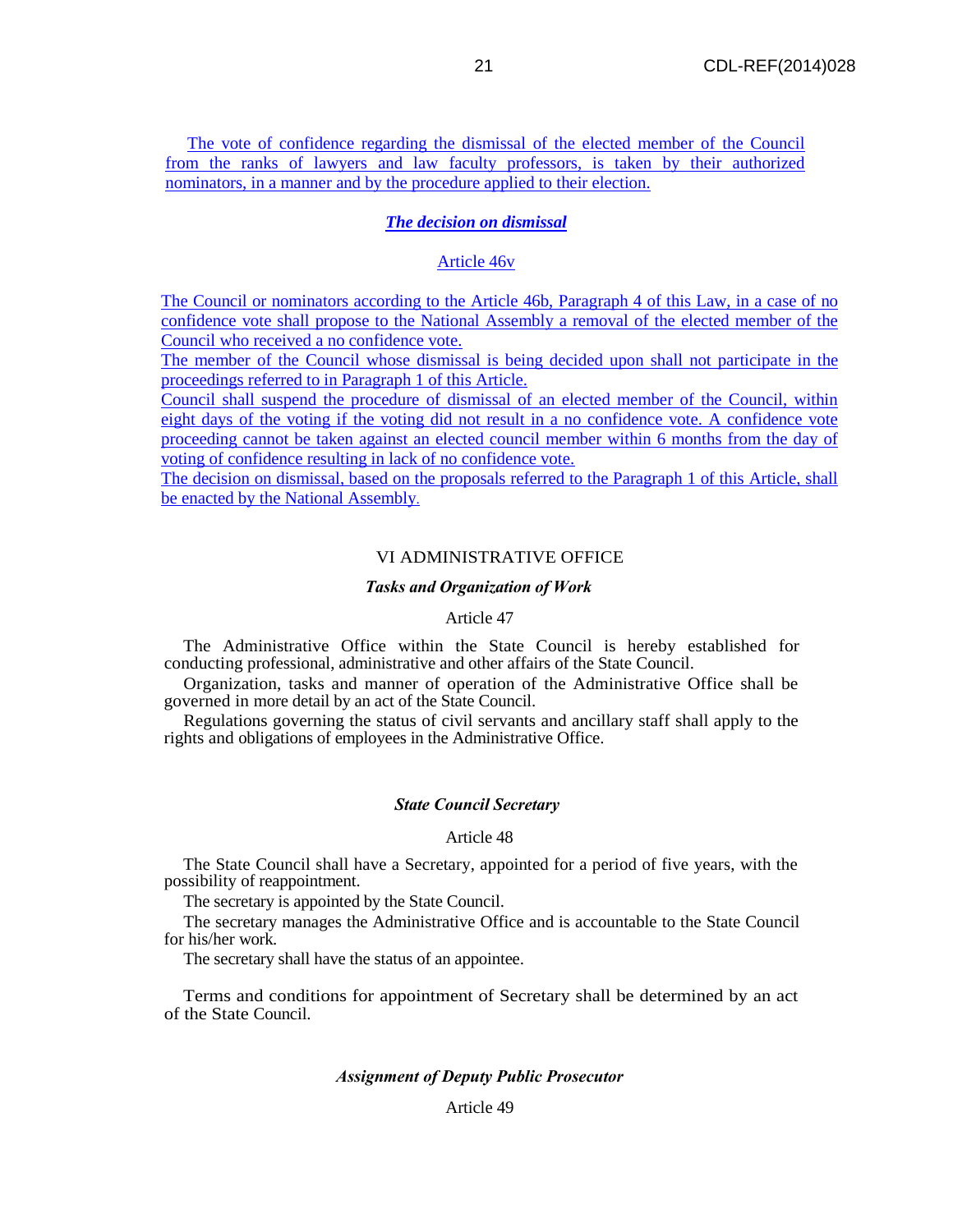The vote of confidence regarding the dismissal of the elected member of the Council from the ranks of lawyers and law faculty professors, is taken by their authorized nominators, in a manner and by the procedure applied to their election.

## *The decision on dismissal*

#### Article 46v

The Council or nominators according to the Article 46b, Paragraph 4 of this Law, in a case of no confidence vote shall propose to the National Assembly a removal of the elected member of the Council who received a no confidence vote.

The member of the Council whose dismissal is being decided upon shall not participate in the proceedings referred to in Paragraph 1 of this Article.

Council shall suspend the procedure of dismissal of an elected member of the Council, within eight days of the voting if the voting did not result in a no confidence vote. A confidence vote proceeding cannot be taken against an elected council member within 6 months from the day of voting of confidence resulting in lack of no confidence vote.

The decision on dismissal, based on the proposals referred to the Paragraph 1 of this Article, shall be enacted by the National Assembly.

## VI ADMINISTRATIVE OFFICE

#### *Tasks and Organization of Work*

## Article 47

The Administrative Office within the State Council is hereby established for conducting professional, administrative and other affairs of the State Council.

Organization, tasks and manner of operation of the Administrative Office shall be governed in more detail by an act of the State Council.

Regulations governing the status of civil servants and ancillary staff shall apply to the rights and obligations of employees in the Administrative Office.

#### *State Council Secretary*

#### Article 48

The State Council shall have a Secretary, appointed for a period of five years, with the possibility of reappointment.

The secretary is appointed by the State Council.

The secretary manages the Administrative Office and is accountable to the State Council for his/her work.

The secretary shall have the status of an appointee.

Terms and conditions for appointment of Secretary shall be determined by an act of the State Council.

#### *Assignment of Deputy Public Prosecutor*

## Article 49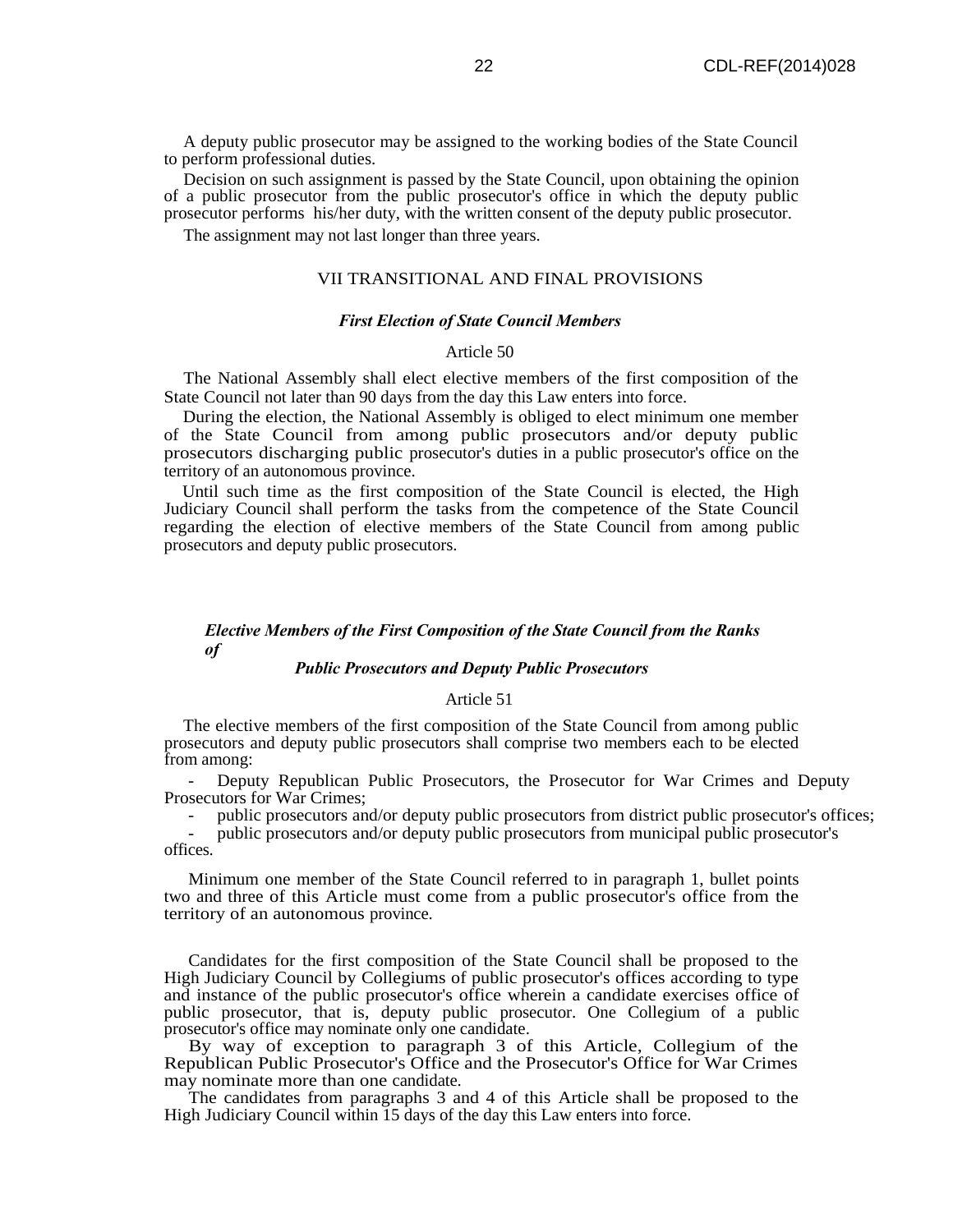A deputy public prosecutor may be assigned to the working bodies of the State Council to perform professional duties.

Decision on such assignment is passed by the State Council, upon obtaining the opinion of a public prosecutor from the public prosecutor's office in which the deputy public prosecutor performs his/her duty, with the written consent of the deputy public prosecutor.

The assignment may not last longer than three years.

#### VII TRANSITIONAL AND FINAL PROVISIONS

#### *First Election of State Council Members*

#### Article 50

The National Assembly shall elect elective members of the first composition of the State Council not later than 90 days from the day this Law enters into force.

During the election, the National Assembly is obliged to elect minimum one member of the State Council from among public prosecutors and/or deputy public prosecutors discharging public prosecutor's duties in a public prosecutor's office on the territory of an autonomous province.

Until such time as the first composition of the State Council is elected, the High Judiciary Council shall perform the tasks from the competence of the State Council regarding the election of elective members of the State Council from among public prosecutors and deputy public prosecutors.

## *Elective Members of the First Composition of the State Council from the Ranks of*

## *Public Prosecutors and Deputy Public Prosecutors*

#### Article 51

The elective members of the first composition of the State Council from among public prosecutors and deputy public prosecutors shall comprise two members each to be elected from among:

- Deputy Republican Public Prosecutors, the Prosecutor for War Crimes and Deputy Prosecutors for War Crimes;

- public prosecutors and/or deputy public prosecutors from district public prosecutor's offices;

- public prosecutors and/or deputy public prosecutors from municipal public prosecutor's offices.

Minimum one member of the State Council referred to in paragraph 1, bullet points two and three of this Article must come from a public prosecutor's office from the territory of an autonomous province.

Candidates for the first composition of the State Council shall be proposed to the High Judiciary Council by Collegiums of public prosecutor's offices according to type and instance of the public prosecutor's office wherein a candidate exercises office of public prosecutor, that is, deputy public prosecutor. One Collegium of a public prosecutor's office may nominate only one candidate.

By way of exception to paragraph 3 of this Article, Collegium of the Republican Public Prosecutor's Office and the Prosecutor's Office for War Crimes may nominate more than one candidate.

The candidates from paragraphs 3 and 4 of this Article shall be proposed to the High Judiciary Council within 15 days of the day this Law enters into force.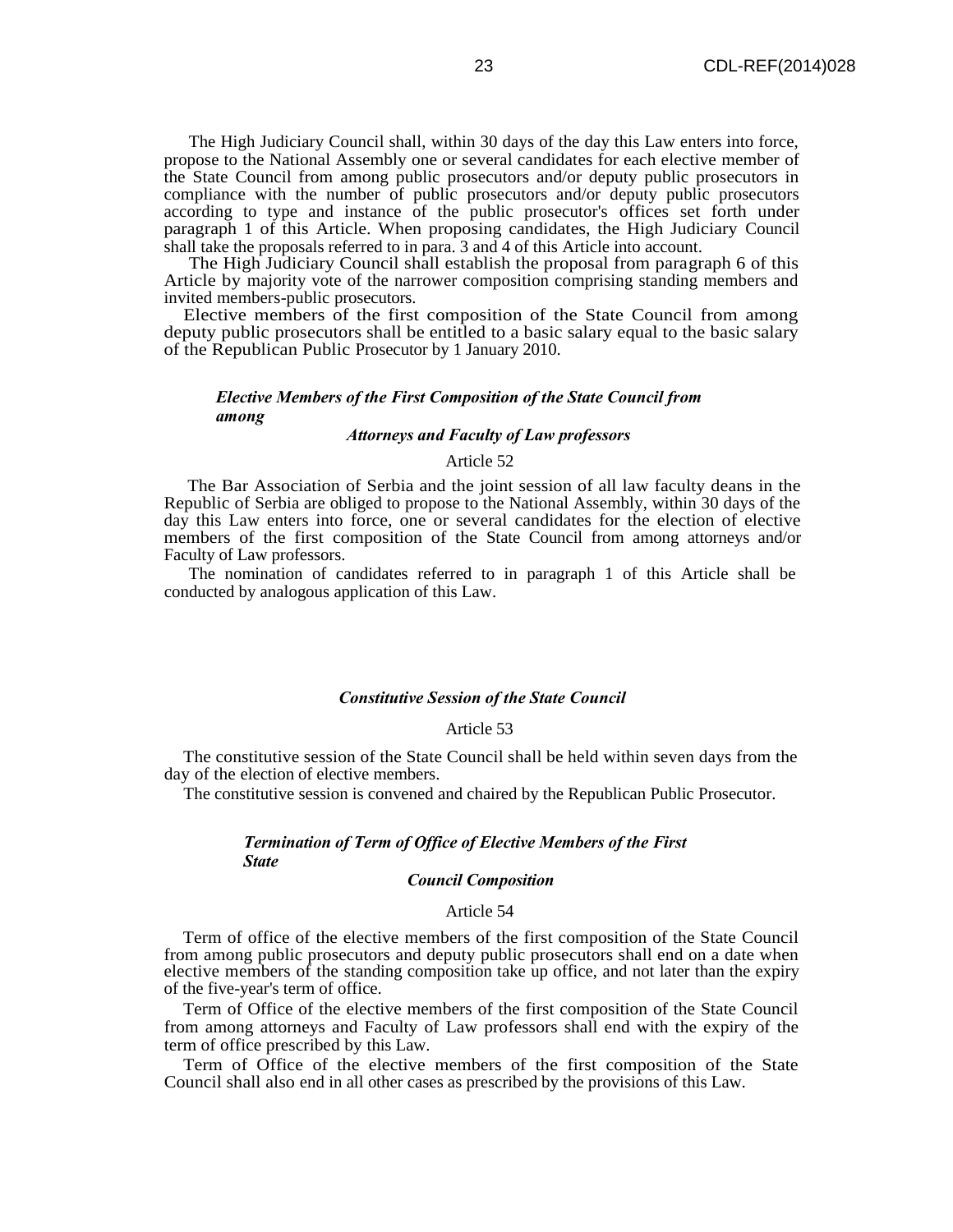The High Judiciary Council shall, within 30 days of the day this Law enters into force, propose to the National Assembly one or several candidates for each elective member of the State Council from among public prosecutors and/or deputy public prosecutors in compliance with the number of public prosecutors and/or deputy public prosecutors according to type and instance of the public prosecutor's offices set forth under paragraph 1 of this Article. When proposing candidates, the High Judiciary Council shall take the proposals referred to in para. 3 and 4 of this Article into account.

The High Judiciary Council shall establish the proposal from paragraph 6 of this Article by majority vote of the narrower composition comprising standing members and invited members-public prosecutors.

Elective members of the first composition of the State Council from among deputy public prosecutors shall be entitled to a basic salary equal to the basic salary of the Republican Public Prosecutor by 1 January 2010.

## *Elective Members of the First Composition of the State Council from among*

## *Attorneys and Faculty of Law professors*

## Article 52

The Bar Association of Serbia and the joint session of all law faculty deans in the Republic of Serbia are obliged to propose to the National Assembly, within 30 days of the day this Law enters into force, one or several candidates for the election of elective members of the first composition of the State Council from among attorneys and/or Faculty of Law professors.

The nomination of candidates referred to in paragraph 1 of this Article shall be conducted by analogous application of this Law.

#### *Constitutive Session of the State Council*

#### Article 53

The constitutive session of the State Council shall be held within seven days from the day of the election of elective members.

The constitutive session is convened and chaired by the Republican Public Prosecutor.

## *Termination of Term of Office of Elective Members of the First State*

## *Council Composition*

## Article 54

Term of office of the elective members of the first composition of the State Council from among public prosecutors and deputy public prosecutors shall end on a date when elective members of the standing composition take up office, and not later than the expiry of the five-year's term of office.

Term of Office of the elective members of the first composition of the State Council from among attorneys and Faculty of Law professors shall end with the expiry of the term of office prescribed by this Law.

Term of Office of the elective members of the first composition of the State Council shall also end in all other cases as prescribed by the provisions of this Law.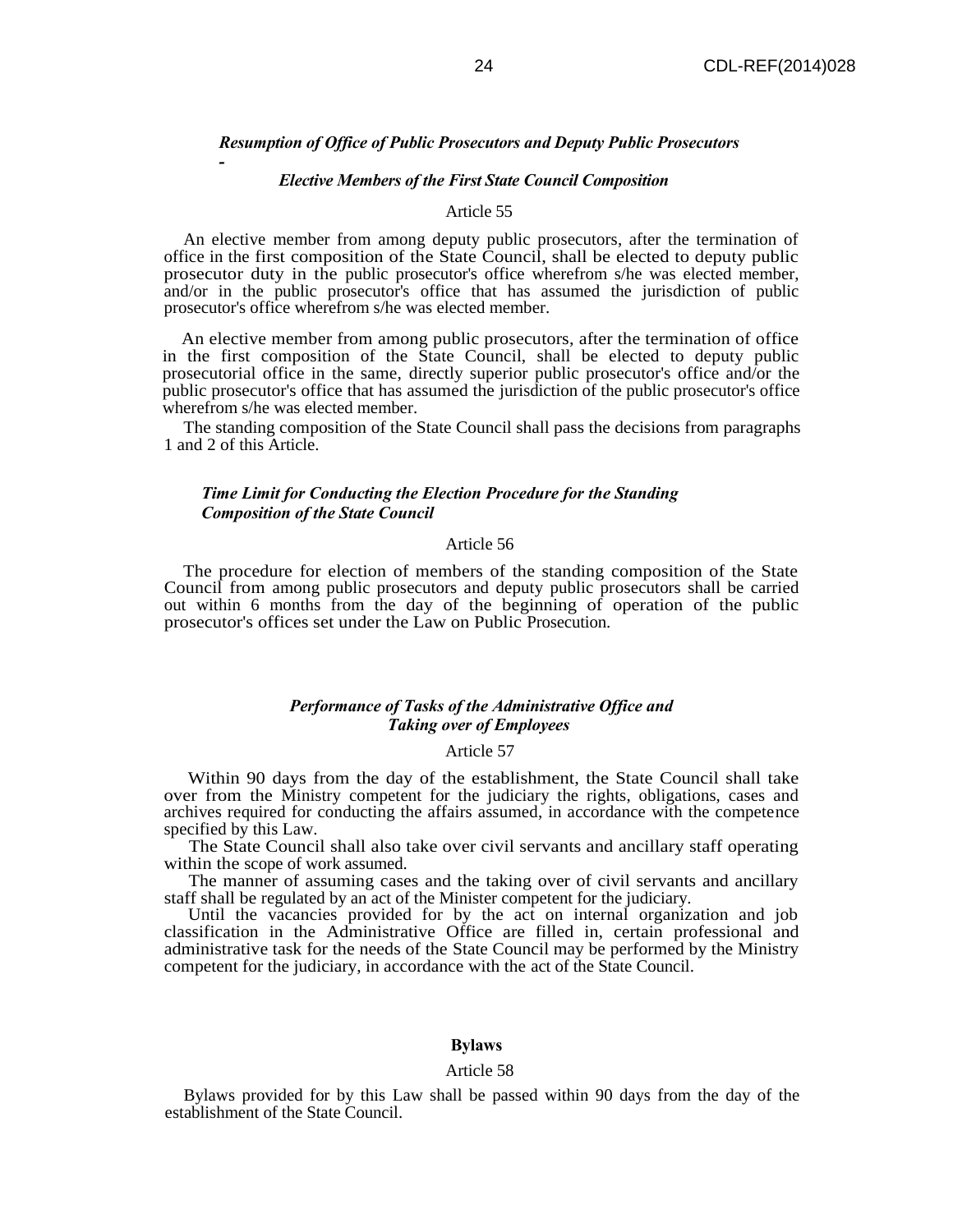#### *Resumption of Office of Public Prosecutors and Deputy Public Prosecutors*

#### *Elective Members of the First State Council Composition*

*-*

#### Article 55

An elective member from among deputy public prosecutors, after the termination of office in the first composition of the State Council, shall be elected to deputy public prosecutor duty in the public prosecutor's office wherefrom s/he was elected member, and/or in the public prosecutor's office that has assumed the jurisdiction of public prosecutor's office wherefrom s/he was elected member.

An elective member from among public prosecutors, after the termination of office in the first composition of the State Council, shall be elected to deputy public prosecutorial office in the same, directly superior public prosecutor's office and/or the public prosecutor's office that has assumed the jurisdiction of the public prosecutor's office wherefrom s/he was elected member.

The standing composition of the State Council shall pass the decisions from paragraphs 1 and 2 of this Article.

## *Time Limit for Conducting the Election Procedure for the Standing Composition of the State Council*

#### Article 56

The procedure for election of members of the standing composition of the State Council from among public prosecutors and deputy public prosecutors shall be carried out within 6 months from the day of the beginning of operation of the public prosecutor's offices set under the Law on Public Prosecution.

#### *Performance of Tasks of the Administrative Office and Taking over of Employees*

#### Article 57

Within 90 days from the day of the establishment, the State Council shall take over from the Ministry competent for the judiciary the rights, obligations, cases and archives required for conducting the affairs assumed, in accordance with the competence specified by this Law.

The State Council shall also take over civil servants and ancillary staff operating within the scope of work assumed.

The manner of assuming cases and the taking over of civil servants and ancillary staff shall be regulated by an act of the Minister competent for the judiciary.

Until the vacancies provided for by the act on internal organization and job classification in the Administrative Office are filled in, certain professional and administrative task for the needs of the State Council may be performed by the Ministry competent for the judiciary, in accordance with the act of the State Council.

## **Bylaws**

#### Article 58

Bylaws provided for by this Law shall be passed within 90 days from the day of the establishment of the State Council.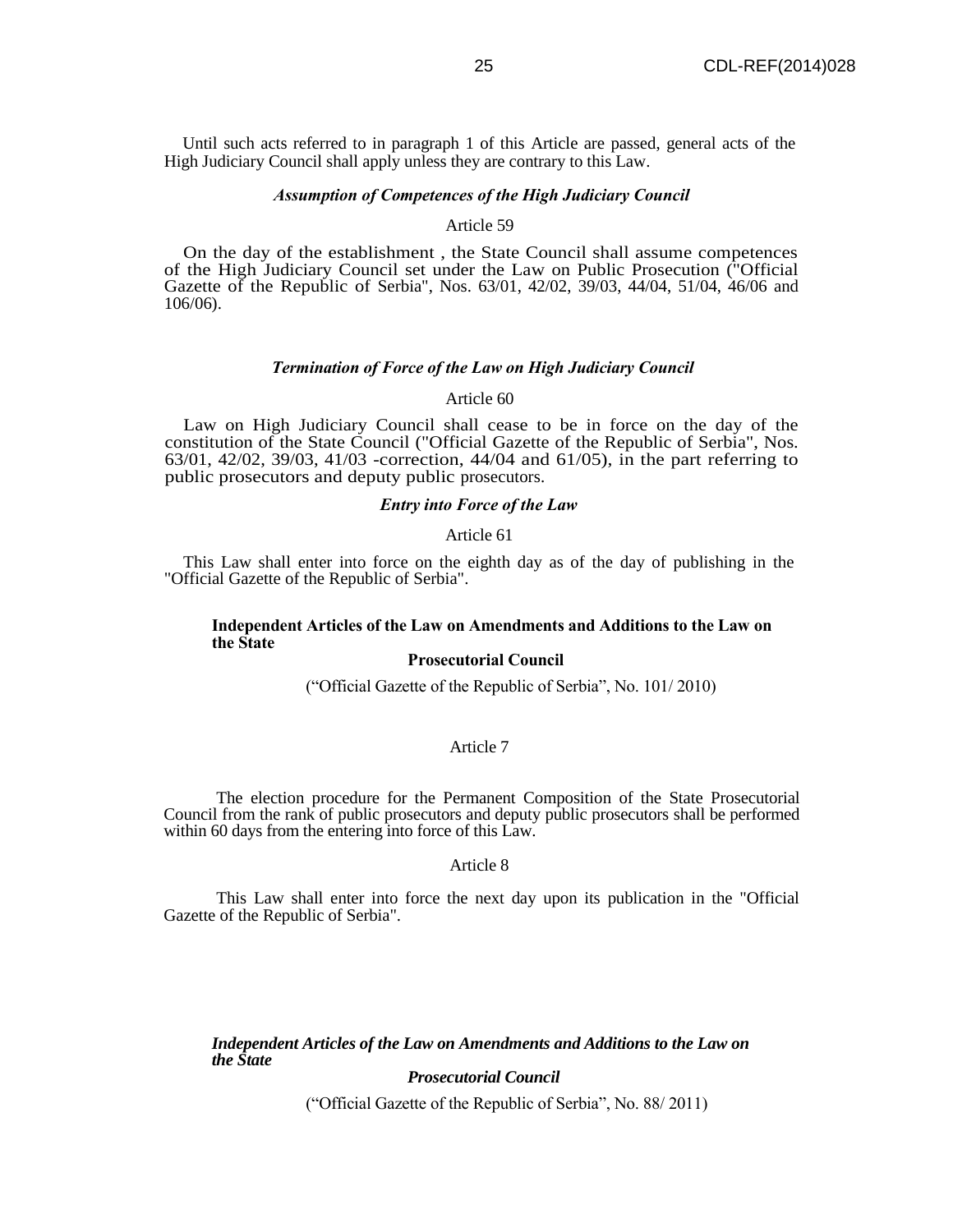Until such acts referred to in paragraph 1 of this Article are passed, general acts of the High Judiciary Council shall apply unless they are contrary to this Law.

#### *Assumption of Competences of the High Judiciary Council*

#### Article 59

On the day of the establishment , the State Council shall assume competences of the High Judiciary Council set under the Law on Public Prosecution ("Official Gazette of the Republic of Serbia", Nos. 63/01, 42/02, 39/03, 44/04, 51/04, 46/06 and 106/06).

## *Termination of Force of the Law on High Judiciary Council*

#### Article 60

Law on High Judiciary Council shall cease to be in force on the day of the constitution of the State Council ("Official Gazette of the Republic of Serbia", Nos. 63/01, 42/02, 39/03, 41/03 -correction, 44/04 and 61/05), in the part referring to public prosecutors and deputy public prosecutors.

## *Entry into Force of the Law*

## Article 61

This Law shall enter into force on the eighth day as of the day of publishing in the "Official Gazette of the Republic of Serbia".

## **Independent Articles of the Law on Amendments and Additions to the Law on the State**

## **Prosecutorial Council**

("Official Gazette of the Republic of Serbia", No. 101/ 2010)

#### Article 7

The election procedure for the Permanent Composition of the State Prosecutorial Council from the rank of public prosecutors and deputy public prosecutors shall be performed within 60 days from the entering into force of this Law.

#### Article 8

This Law shall enter into force the next day upon its publication in the "Official Gazette of the Republic of Serbia".

*Independent Articles of the Law on Amendments and Additions to the Law on the State* 

## *Prosecutorial Council*

("Official Gazette of the Republic of Serbia", No. 88/ 2011)